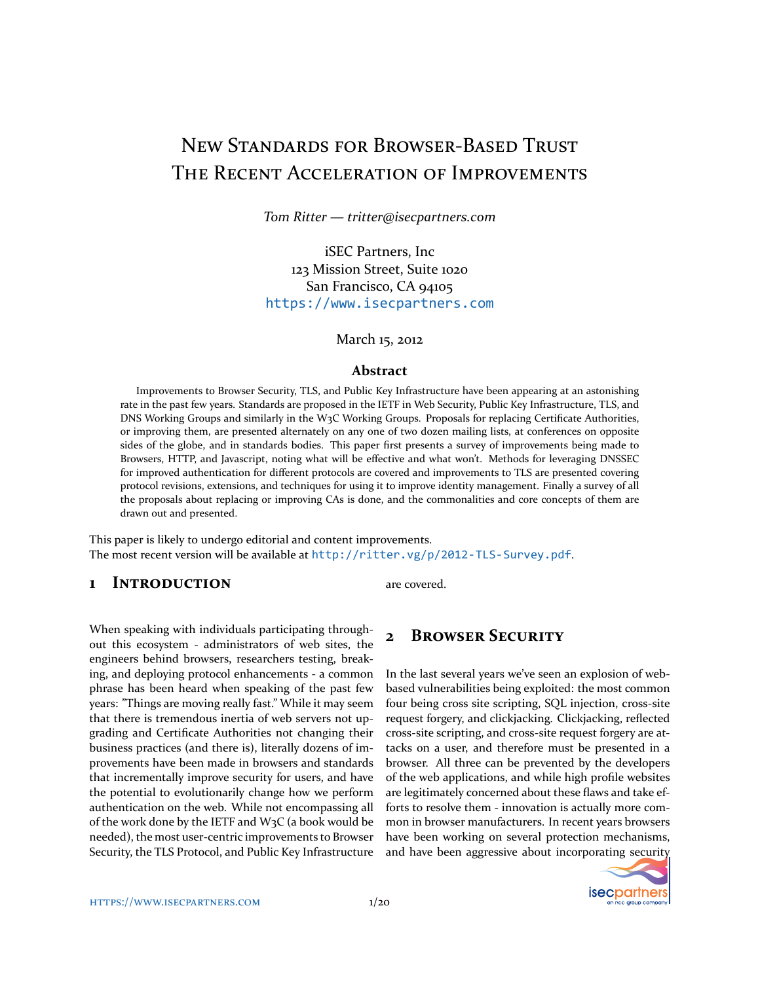# NEW STANDARDS FOR BROWSER-BASED TRUST The Recent Acceleration of Improvements

*Tom Ritter — tritter@isecpartners.com*

iSEC Partners, Inc 123 Mission Street, Suite 1020 San Francisco, CA 94105 <https://www.isecpartners.com>

March 15, 2012

#### **Abstract**

Improvements to Browser Security, TLS, and Public Key Infrastructure have been appearing at an astonishing rate in the past few years. Standards are proposed in the IETF in Web Security, Public Key Infrastructure, TLS, and DNS Working Groups and similarly in the W3C Working Groups. Proposals for replacing Certificate Authorities, or improving them, are presented alternately on any one of two dozen mailing lists, at conferences on opposite sides of the globe, and in standards bodies. This paper first presents a survey of improvements being made to Browsers, HTTP, and Javascript, noting what will be effective and what won't. Methods for leveraging DNSSEC for improved authentication for different protocols are covered and improvements to TLS are presented covering protocol revisions, extensions, and techniques for using it to improve identity management. Finally a survey of all the proposals about replacing or improving CAs is done, and the commonalities and core concepts of them are drawn out and presented.

This paper is likely to undergo editorial and content improvements. The most recent version will be available at <http://ritter.vg/p/2012-TLS-Survey.pdf>.

### **1 INTRODUCTION**

When speaking with individuals participating throughout this ecosystem - administrators of web sites, the engineers behind browsers, researchers testing, breaking, and deploying protocol enhancements - a common phrase has been heard when speaking of the past few years: "Things are moving really fast." While it may seem that there is tremendous inertia of web servers not upgrading and Certificate Authorities not changing their business practices (and there is), literally dozens of improvements have been made in browsers and standards that incrementally improve security for users, and have the potential to evolutionarily change how we perform authentication on the web. While not encompassing all of the work done by the IETF and W3C (a book would be needed), the most user-centric improvements to Browser Security, the TLS Protocol, and Public Key Infrastructure are covered.

### **2 BROWSER SECURITY**

In the last several years we've seen an explosion of webbased vulnerabilities being exploited: the most common four being cross site scripting, SQL injection, cross-site request forgery, and clickjacking. Clickjacking, reflected cross-site scripting, and cross-site request forgery are attacks on a user, and therefore must be presented in a browser. All three can be prevented by the developers of the web applications, and while high profile websites are legitimately concerned about these flaws and take efforts to resolve them - innovation is actually more common in browser manufacturers. In recent years browsers have been working on several protection mechanisms, and have been aggressive about incorporating security

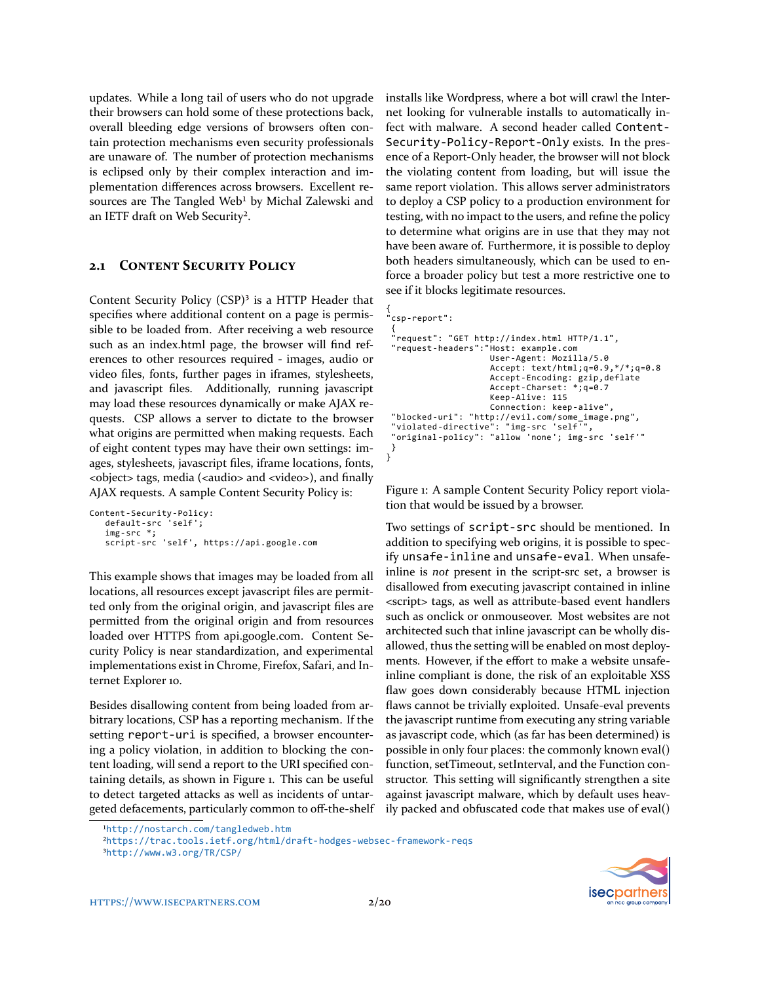updates. While a long tail of users who do not upgrade their browsers can hold some of these protections back, overall bleeding edge versions of browsers often contain protection mechanisms even security professionals are unaware of. The number of protection mechanisms is eclipsed only by their complex interaction and implementation differences across browsers. Excellent resources are The Tangled Web<sup>1</sup> by Michal Zalewski and an IETF draft on Web Securit[y².](#page-1-1)

### **2.1 CONTENT SECURITY POLICY**

Content Security Policy  $(CSP)^3$  is a HTTP Header that specifies where additional content on a page is permissible to be loaded from. After receiving a web resource such as an index.html page, the browser will find references to other resources required - images, audio or video files, fonts, further pages in iframes, stylesheets, and javascript files. Additionally, running javascript may load these resources dynamically or make AJAX requests. CSP allows a server to dictate to the browser what origins are permitted when making requests. Each of eight content types may have their own settings: images, stylesheets, javascript files, iframe locations, fonts, <object> tags, media (<audio> and <video>), and finally AJAX requests. A sample Content Security Policy is:

```
Content-Security-Policy:
   default-src 'self';
   img-src *;
   script-src 'self', https://api.google.com
```
This example shows that images may be loaded from all locations, all resources except javascript files are permitted only from the original origin, and javascript files are permitted from the original origin and from resources loaded over HTTPS from api.google.com. Content Security Policy is near standardization, and experimental implementations exist in Chrome, Firefox, Safari, and Internet Explorer 10.

Besides disallowing content from being loaded from arbitrary locations, CSP has a reporting mechanism. If the setting report-uri is specified, a browser encountering a policy violation, in addition to blocking the content loading, will send a report to the URI specified containing details, as shown in Figure [1](#page-1-3). This can be useful to detect targeted attacks as well as incidents of untargeted defacements, particularly common to off-the-shelf installs like Wordpress, where a bot will crawl the Internet looking for vulnerable installs to automatically infect with malware. A second header called Content-Security-Policy-Report-Only exists. In the presence of a Report-Only header, the browser will not block the violating content from loading, but will issue the same report violation. This allows server administrators to deploy a CSP policy to a production environment for testing, with no impact to the users, and refine the policy to determine what origins are in use that they may not have been aware of. Furthermore, it is possible to deploy both headers simultaneously, which can be used to enforce a broader policy but test a more restrictive one to see if it blocks legitimate resources.

```
{
"csp-report":
  {
"request": "GET http://index.html HTTP/1.1",
"request-headers":"Host: example.com
                              User-Agent: Mozilla/5.0
                              Accept: text/html;q=0.9,*/*;q=0.8
                              Accept-Encoding: gzip,deflate
                              Accept-Charset: *;q=0.7
                              Keep-Alive: 115
                              Connection: keep-alive",
  "blocked-uri": "http://evil.com/some_image.png",
"violated-directive": "img-src 'self'",
"original-policy": "allow 'none'; img-src 'self'"
 }
}
```
<span id="page-1-3"></span>Figure 1: A sample Content Security Policy report violation that would be issued by a browser.

Two settings of script-src should be mentioned. In addition to specifying web origins, it is possible to specify unsafe-inline and unsafe-eval. When unsafeinline is *not* present in the script-src set, a browser is disallowed from executing javascript contained in inline <script> tags, as well as attribute-based event handlers such as onclick or onmouseover. Most websites are not architected such that inline javascript can be wholly disallowed, thus the setting will be enabled on most deployments. However, if the effort to make a website unsafeinline compliant is done, the risk of an exploitable XSS flaw goes down considerably because HTML injection flaws cannot be trivially exploited. Unsafe-eval prevents the javascript runtime from executing any string variable as javascript code, which (as far has been determined) is possible in only four places: the commonly known eval() function, setTimeout, setInterval, and the Function constructor. This setting will significantly strengthen a site against javascript malware, which by default uses heavily packed and obfuscated code that makes use of eval()



<span id="page-1-0"></span>¹<http://nostarch.com/tangledweb.htm>

<span id="page-1-1"></span>²<https://trac.tools.ietf.org/html/draft-hodges-websec-framework-reqs>

<span id="page-1-2"></span>³<http://www.w3.org/TR/CSP/>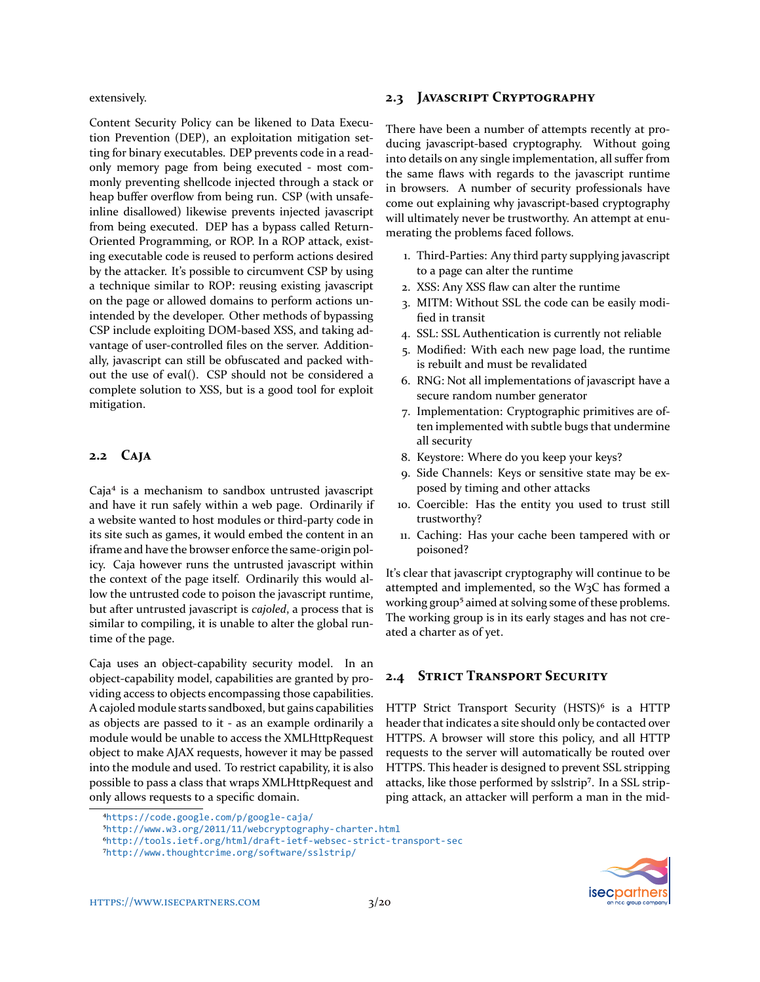extensively.

Content Security Policy can be likened to Data Execution Prevention (DEP), an exploitation mitigation setting for binary executables. DEP prevents code in a readonly memory page from being executed - most commonly preventing shellcode injected through a stack or heap buffer overflow from being run. CSP (with unsafeinline disallowed) likewise prevents injected javascript from being executed. DEP has a bypass called Return-Oriented Programming, or ROP. In a ROP attack, existing executable code is reused to perform actions desired by the attacker. It's possible to circumvent CSP by using a technique similar to ROP: reusing existing javascript on the page or allowed domains to perform actions unintended by the developer. Other methods of bypassing CSP include exploiting DOM-based XSS, and taking advantage of user-controlled files on the server. Additionally, javascript can still be obfuscated and packed without the use of eval(). CSP should not be considered a complete solution to XSS, but is a good tool for exploit mitigation.

### 2.2 **CAJA**

Caja<sup>4</sup> is a mechanism to sandbox untrusted javascript and have it run safely within a web page. Ordinarily if a website wanted to host modules or third-party code in its site such as games, it would embed the content in an iframe and have the browser enforce the same-origin policy. Caja however runs the untrusted javascript within the context of the page itself. Ordinarily this would allow the untrusted code to poison the javascript runtime, but after untrusted javascript is *cajoled*, a process that is similar to compiling, it is unable to alter the global runtime of the page.

Caja uses an object-capability security model. In an object-capability model, capabilities are granted by providing access to objects encompassing those capabilities. A cajoled module starts sandboxed, but gains capabilities as objects are passed to it - as an example ordinarily a module would be unable to access the XMLHttpRequest object to make AJAX requests, however it may be passed into the module and used. To restrict capability, it is also possible to pass a class that wraps XMLHttpRequest and only allows requests to a specific domain.

### 2.3 **JAVASCRIPT CRYPTOGRAPHY**

There have been a number of attempts recently at producing javascript-based cryptography. Without going into details on any single implementation, all suffer from the same flaws with regards to the javascript runtime in browsers. A number of security professionals have come out explaining why javascript-based cryptography will ultimately never be trustworthy. An attempt at enumerating the problems faced follows.

- 1. Third-Parties: Any third party supplying javascript to a page can alter the runtime
- 2. XSS: Any XSS flaw can alter the runtime
- 3. MITM: Without SSL the code can be easily modified in transit
- 4. SSL: SSL Authentication is currently not reliable
- 5. Modified: With each new page load, the runtime is rebuilt and must be revalidated
- 6. RNG: Not all implementations of javascript have a secure random number generator
- 7. Implementation: Cryptographic primitives are often implemented with subtle bugs that undermine all security
- 8. Keystore: Where do you keep your keys?
- 9. Side Channels: Keys or sensitive state may be exposed by timing and other attacks
- 10. Coercible: Has the entity you used to trust still trustworthy?
- 11. Caching: Has your cache been tampered with or poisoned?

It's clear that javascript cryptography will continue to be attempted and implemented, so the W3C has formed a working group<sup>5</sup> aimed at solving some of these problems. The working group is in its early stages and has not created a charter as of yet.

### **2.4 STRICT TRANSPORT SECURITY**

HTTP Strict Transport Security (HSTS)<sup>6</sup> is a HTTP header that indicates a site should only be contacted over HTTPS. A browser will store this policy, and all HTTP requests to the server will automatically be routed over HTTPS. This header is designed to prevent SSL stripping attacks, like those performed by sslstrip<sup>7</sup>. In a SSL stripping attack, an attacker will perform a man in the mid-



<span id="page-2-0"></span>⁴<https://code.google.com/p/google-caja/>

<span id="page-2-1"></span>⁵<http://www.w3.org/2011/11/webcryptography-charter.html>

<span id="page-2-2"></span>⁶<http://tools.ietf.org/html/draft-ietf-websec-strict-transport-sec>

<span id="page-2-3"></span>⁷<http://www.thoughtcrime.org/software/sslstrip/>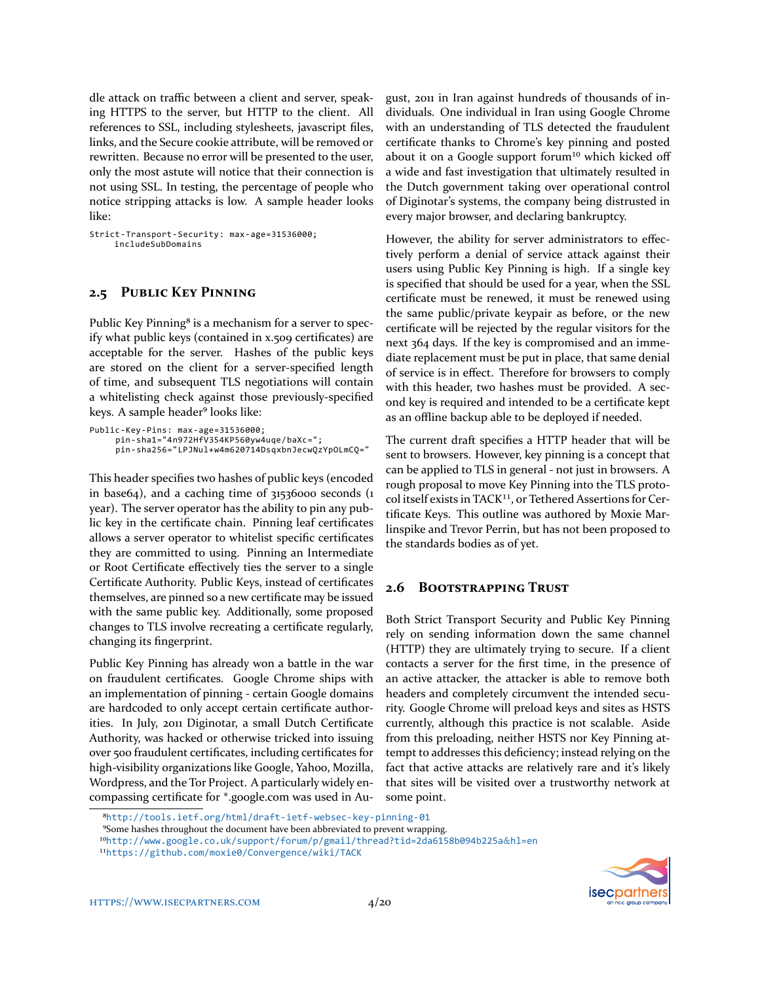dle attack on traffic between a client and server, speaking HTTPS to the server, but HTTP to the client. All references to SSL, including stylesheets, javascript files, links, and the Secure cookie attribute, will be removed or rewritten. Because no error will be presented to the user, only the most astute will notice that their connection is not using SSL. In testing, the percentage of people who notice stripping attacks is low. A sample header looks like:

Strict-Transport-Security: max-age=31536000; includeSubDomains

### **2.5 PUBLIC KEY PINNING**

Public Key Pinning<sup>8</sup> is a mechanism for a server to specify what public keys (contained in x.509 certificates) are acceptable for the server. Hashes of the public keys are stored on the client for a server-specified length of time, and subsequent TLS negotiations will contain a whitelisting check against those previously-specified keys. A sample header[⁹](#page-3-1) looks like:

```
Public-Key-Pins: max-age=31536000;
     pin-sha1="4n972HfV354KP560yw4uqe/baXc=";
    pin-sha256="LPJNul+w4m620714DsqxbnJecwQzYpOLmCQ="
```
This header specifies two hashes of public keys (encoded in base64), and a caching time of 31536000 seconds (1 year). The server operator has the ability to pin any public key in the certificate chain. Pinning leaf certificates allows a server operator to whitelist specific certificates they are committed to using. Pinning an Intermediate or Root Certificate effectively ties the server to a single Certificate Authority. Public Keys, instead of certificates themselves, are pinned so a new certificate may be issued with the same public key. Additionally, some proposed changes to TLS involve recreating a certificate regularly, changing its fingerprint.

Public Key Pinning has already won a battle in the war on fraudulent certificates. Google Chrome ships with an implementation of pinning - certain Google domains are hardcoded to only accept certain certificate authorities. In July, 2011 Diginotar, a small Dutch Certificate Authority, was hacked or otherwise tricked into issuing over 500 fraudulent certificates, including certificates for high-visibility organizations like Google, Yahoo, Mozilla, Wordpress, and the Tor Project. A particularly widely encompassing certificate for \*.google.com was used in August, 2011 in Iran against hundreds of thousands of individuals. One individual in Iran using Google Chrome with an understanding of TLS detected the fraudulent certificate thanks to Chrome's key pinning and posted about it on a Google support forum<sup>10</sup> which kicked off a wide and fast investigation that ultimately resulted in the Dutch government taking over operational control of Diginotar's systems, the company being distrusted in every major browser, and declaring bankruptcy.

However, the ability for server administrators to effectively perform a denial of service attack against their users using Public Key Pinning is high. If a single key is specified that should be used for a year, when the SSL certificate must be renewed, it must be renewed using the same public/private keypair as before, or the new certificate will be rejected by the regular visitors for the next 364 days. If the key is compromised and an immediate replacement must be put in place, that same denial of service is in effect. Therefore for browsers to comply with this header, two hashes must be provided. A second key is required and intended to be a certificate kept as an offline backup able to be deployed if needed.

The current draft specifies a HTTP header that will be sent to browsers. However, key pinning is a concept that can be applied to TLS in general - not just in browsers. A rough proposal to move Key Pinning into the TLS protocol itself exists in TACK<sup>11</sup>, or Tethered Assertions for Certificate Keys. This outline was authored by Moxie Marlinspike and Trevor Perrin, but has not been proposed to the standards bodies as of yet.

### **2.6 BOOTSTRAPPING TRUST**

Both Strict Transport Security and Public Key Pinning rely on sending information down the same channel (HTTP) they are ultimately trying to secure. If a client contacts a server for the first time, in the presence of an active attacker, the attacker is able to remove both headers and completely circumvent the intended security. Google Chrome will preload keys and sites as HSTS currently, although this practice is not scalable. Aside from this preloading, neither HSTS nor Key Pinning attempt to addresses this deficiency; instead relying on the fact that active attacks are relatively rare and it's likely that sites will be visited over a trustworthy network at some point.

<span id="page-3-1"></span>⁹Some hashes throughout the document have been abbreviated to prevent wrapping.

<span id="page-3-2"></span>10[http://www.google.co.uk/support/forum/p/gmail/thread?tid=2da6158b094b225a](http://www.google.co.uk/support/forum/p/gmail/thread?tid=2da6158b094b225a&hl=en)&hl=en



<span id="page-3-0"></span>⁸<http://tools.ietf.org/html/draft-ietf-websec-key-pinning-01>

<span id="page-3-3"></span><sup>11</sup><https://github.com/moxie0/Convergence/wiki/TACK>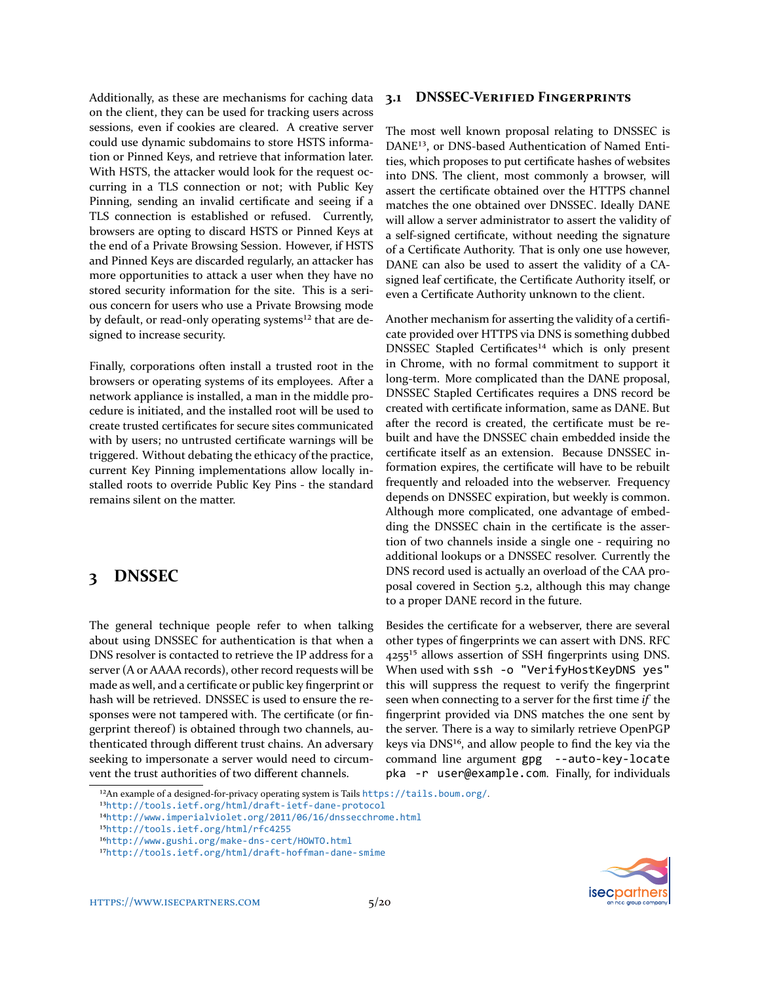Additionally, as these are mechanisms for caching data on the client, they can be used for tracking users across sessions, even if cookies are cleared. A creative server could use dynamic subdomains to store HSTS information or Pinned Keys, and retrieve that information later. With HSTS, the attacker would look for the request occurring in a TLS connection or not; with Public Key Pinning, sending an invalid certificate and seeing if a TLS connection is established or refused. Currently, browsers are opting to discard HSTS or Pinned Keys at the end of a Private Browsing Session. However, if HSTS and Pinned Keys are discarded regularly, an attacker has more opportunities to attack a user when they have no stored security information for the site. This is a serious concern for users who use a Private Browsing mode by default, or read-only operating systems<sup>12</sup> that are designed to increase security.

Finally, corporations often install a trusted root in the browsers or operating systems of its employees. After a network appliance is installed, a man in the middle procedure is initiated, and the installed root will be used to create trusted certificates for secure sites communicated with by users; no untrusted certificate warnings will be triggered. Without debating the ethicacy of the practice, current Key Pinning implementations allow locally installed roots to override Public Key Pins - the standard remains silent on the matter.

# **3 DNSSEC**

The general technique people refer to when talking about using DNSSEC for authentication is that when a DNS resolver is contacted to retrieve the IP address for a server (A or AAAA records), other record requests will be made as well, and a certificate or public key fingerprint or hash will be retrieved. DNSSEC is used to ensure the responses were not tampered with. The certificate (or fingerprint thereof) is obtained through two channels, authenticated through different trust chains. An adversary seeking to impersonate a server would need to circumvent the trust authorities of two different channels.

#### **3.1 DNSSEC-VERIFIED FINGERPRINTS**

The most well known proposal relating to DNSSEC is DANE<sup>13</sup>, or DNS-based Authentication of Named Entities, which proposes to put certificate hashes of websites into DNS. The client, most commonly a browser, will assert the certificate obtained over the HTTPS channel matches the one obtained over DNSSEC. Ideally DANE will allow a server administrator to assert the validity of a self-signed certificate, without needing the signature of a Certificate Authority. That is only one use however, DANE can also be used to assert the validity of a CAsigned leaf certificate, the Certificate Authority itself, or even a Certificate Authority unknown to the client.

Another mechanism for asserting the validity of a certificate provided over HTTPS via DNS is something dubbed DNSSEC Stapled Certificates<sup>14</sup> which is only present in Chrome, with no formal commitment to support it long-term. More complicated than the DANE proposal, DNSSEC Stapled Certificates requires a DNS record be created with certificate information, same as DANE. But after the record is created, the certificate must be rebuilt and have the DNSSEC chain embedded inside the certificate itself as an extension. Because DNSSEC information expires, the certificate will have to be rebuilt frequently and reloaded into the webserver. Frequency depends on DNSSEC expiration, but weekly is common. Although more complicated, one advantage of embedding the DNSSEC chain in the certificate is the assertion of two channels inside a single one - requiring no additional lookups or a DNSSEC resolver. Currently the DNS record used is actually an overload of the CAA proposal covered in Section [5.2,](#page-14-0) although this may change to a proper DANE record in the future.

Besides the certificate for a webserver, there are several other types of fingerprints we can assert with DNS. RFC 4255<sup>15</sup> allows assertion of SSH fingerprints using DNS. When used with ssh -o "VerifyHostKeyDNS yes" this will suppress the request to verify the fingerprint seen when connecting to a server for the first time *if* the fingerprint provided via DNS matches the one sent by the server. There is a way to similarly retrieve OpenPGP keys via  $DNS^{16}$ , and allow people to find the key via the command line argument gpg --auto-key-locate pka -r user@example.com. Finally, for individuals



<span id="page-4-0"></span><sup>&</sup>lt;sup>12</sup>An example of a designed-for-privacy operating system is Tails <https://tails.boum.org/>.

<span id="page-4-1"></span><sup>13</sup><http://tools.ietf.org/html/draft-ietf-dane-protocol>

<span id="page-4-2"></span><sup>14</sup><http://www.imperialviolet.org/2011/06/16/dnssecchrome.html>

<span id="page-4-3"></span>¹⁵<http://tools.ietf.org/html/rfc4255>

<span id="page-4-4"></span><sup>16</sup><http://www.gushi.org/make-dns-cert/HOWTO.html>

<span id="page-4-5"></span><sup>17</sup><http://tools.ietf.org/html/draft-hoffman-dane-smime>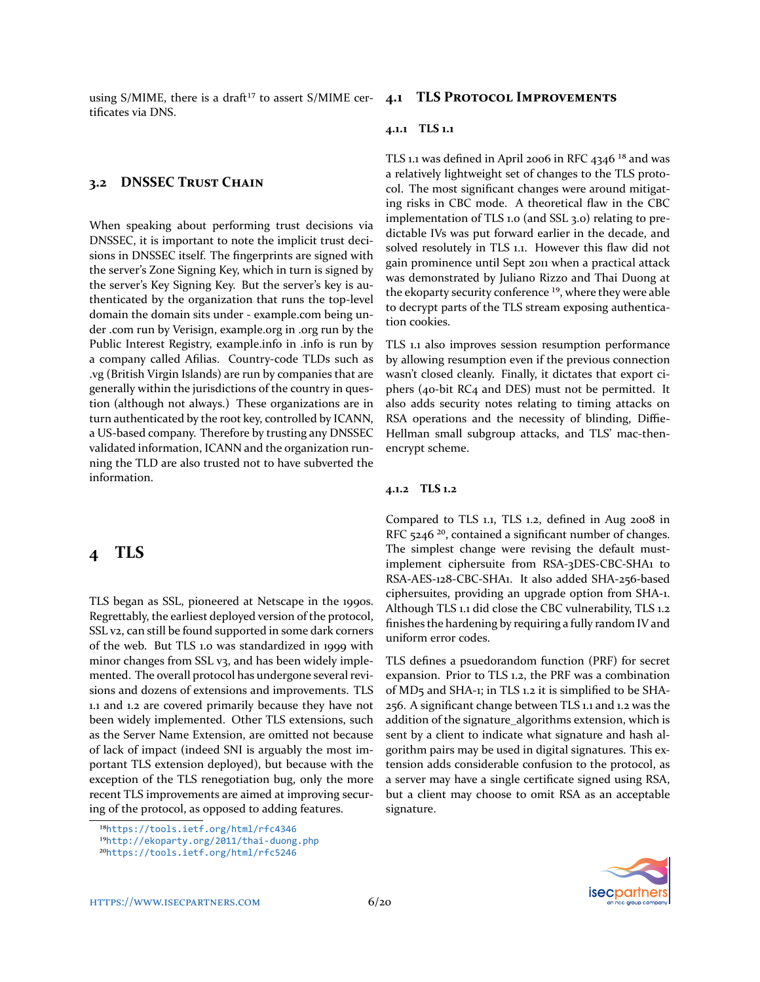using S/MIME, there is a draft<sup>17</sup> to assert S/MIME cer- **4.1 TLS PROTOCOL IMPROVEMENTS** tificates via DNS.

### **3.2 DNSSEC TRUST CHAIN**

When speaking about performing trust decisions via DNSSEC, it is important to note the implicit trust decisions in DNSSEC itself. The fingerprints are signed with the server's Zone Signing Key, which in turn is signed by the server's Key Signing Key. But the server's key is authenticated by the organization that runs the top-level domain the domain sits under - example.com being under .com run by Verisign, example.org in .org run by the Public Interest Registry, example.info in .info is run by a company called Afilias. Country-code TLDs such as .vg (British Virgin Islands) are run by companies that are generally within the jurisdictions of the country in question (although not always.) These organizations are in turn authenticated by the root key, controlled by ICANN, a US-based company. Therefore by trusting any DNSSEC validated information, ICANN and the organization running the TLD are also trusted not to have subverted the information.

# **4 TLS**

TLS began as SSL, pioneered at Netscape in the 1990s. Regrettably, the earliest deployed version of the protocol, SSL v2, can still be found supported in some dark corners of the web. But TLS 1.0 was standardized in 1999 with minor changes from SSL v3, and has been widely implemented. The overall protocol has undergone several revisions and dozens of extensions and improvements. TLS 1.1 and 1.2 are covered primarily because they have not been widely implemented. Other TLS extensions, such as the Server Name Extension, are omitted not because of lack of impact (indeed SNI is arguably the most important TLS extension deployed), but because with the exception of the TLS renegotiation bug, only the more recent TLS improvements are aimed at improving securing of the protocol, as opposed to adding features.

#### **4.1.1 TLS 1.1**

TLS 1.1 was defined in April 2006 in RFC  $4346^{18}$  and was a relatively lightweight set of changes to the TLS protocol. The most significant changes were around mitigating risks in CBC mode. A theoretical flaw in the CBC implementation of TLS 1.0 (and SSL 3.0) relating to predictable IVs was put forward earlier in the decade, and solved resolutely in TLS 1.1. However this flaw did not gain prominence until Sept 2011 when a practical attack was demonstrated by Juliano Rizzo and Thai Duong at the ekoparty security conference<sup>19</sup>, where they were able to decrypt parts of the TLS stream exposing authentication cookies.

TLS 1.1 also improves session resumption performance by allowing resumption even if the previous connection wasn't closed cleanly. Finally, it dictates that export ciphers (40-bit RC4 and DES) must not be permitted. It also adds security notes relating to timing attacks on RSA operations and the necessity of blinding, Diffie-Hellman small subgroup attacks, and TLS' mac-thenencrypt scheme.

#### **4.1.2 TLS 1.2**

Compared to TLS 1.1, TLS 1.2, defined in Aug 2008 in RFC 5246<sup>20</sup>, contained a significant number of changes. The simplest change were revising the default mustimplement ciphersuite from RSA-3DES-CBC-SHA1 to RSA-AES-128-CBC-SHA1. It also added SHA-256-based ciphersuites, providing an upgrade option from SHA-1. Although TLS 1.1 did close the CBC vulnerability, TLS 1.2 finishes the hardening by requiring a fully random IV and uniform error codes.

TLS defines a psuedorandom function (PRF) for secret expansion. Prior to TLS 1.2, the PRF was a combination of MD5 and SHA-1; in TLS 1.2 it is simplified to be SHA-256. A significant change between TLS 1.1 and 1.2 was the addition of the signature\_algorithms extension, which is sent by a client to indicate what signature and hash algorithm pairs may be used in digital signatures. This extension adds considerable confusion to the protocol, as a server may have a single certificate signed using RSA, but a client may choose to omit RSA as an acceptable signature.



<span id="page-5-0"></span>¹⁸<https://tools.ietf.org/html/rfc4346>

<span id="page-5-1"></span><sup>19</sup><http://ekoparty.org/2011/thai-duong.php>

<span id="page-5-2"></span>²⁰<https://tools.ietf.org/html/rfc5246>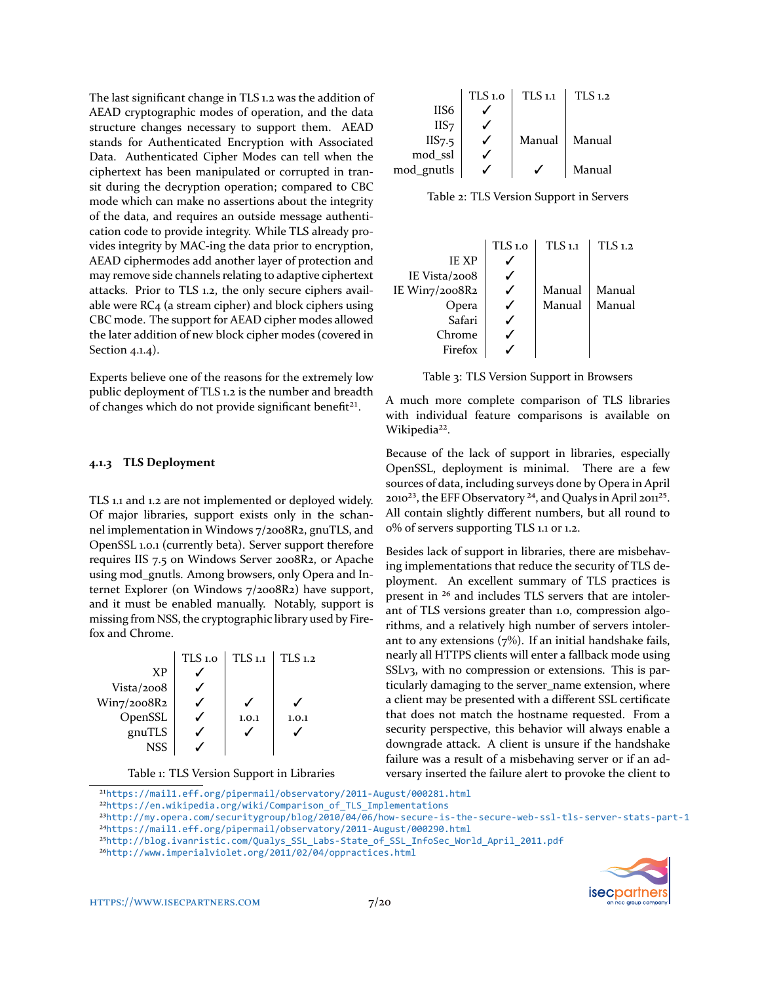The last significant change in TLS 1.2 was the addition of AEAD cryptographic modes of operation, and the data structure changes necessary to support them. AEAD stands for Authenticated Encryption with Associated Data. Authenticated Cipher Modes can tell when the ciphertext has been manipulated or corrupted in transit during the decryption operation; compared to CBC mode which can make no assertions about the integrity of the data, and requires an outside message authentication code to provide integrity. While TLS already provides integrity by MAC-ing the data prior to encryption, AEAD ciphermodes add another layer of protection and may remove side channels relating to adaptive ciphertext attacks. Prior to TLS 1.2, the only secure ciphers available were RC4 (a stream cipher) and block ciphers using CBC mode. The support for AEAD cipher modes allowed the later addition of new block cipher modes (covered in Section [4.1.4\)](#page-7-0).

Experts believe one of the reasons for the extremely low public deployment of TLS 1.2 is the number and breadth of changes which do not provide significant benefit<sup>21</sup>.

#### **4.1.3 TLS Deployment**

TLS 1.1 and 1.2 are not implemented or deployed widely. Of major libraries, support exists only in the schannel implementation in Windows 7/2008R2, gnuTLS, and OpenSSL 1.0.1 (currently beta). Server support therefore requires IIS 7.5 on Windows Server 2008R2, or Apache using mod\_gnutls. Among browsers, only Opera and Internet Explorer (on Windows 7/2008R2) have support, and it must be enabled manually. Notably, support is missing from NSS, the cryptographic library used by Firefox and Chrome.



Table 1: TLS Version Support in Libraries

|                    | $TLS$ 1.0 | $TLS$ 1.1 | $TLS_{1,2}$ |
|--------------------|-----------|-----------|-------------|
| IIS <sub>6</sub>   |           |           |             |
| IIS7               |           |           |             |
| IIS <sub>7.5</sub> |           | Manual    | Manual      |
| mod ssl            |           |           |             |
| mod_gnutls         |           |           | Manual      |

Table 2: TLS Version Support in Servers



Table 3: TLS Version Support in Browsers

A much more complete comparison of TLS libraries with individual feature comparisons is available on Wikipedia[²²](#page-6-1).

Because of the lack of support in libraries, especially OpenSSL, deployment is minimal. There are a few sources of data, including surveys done by Opera in April 2010<sup>23</sup>, the EFF Observatory <sup>24</sup>, and Qualys in April 2011<sup>25</sup>. All contain slightly different numbers, but all round to 0% of servers supporting TLS 1.1 or 1.2.

Besides lack of support in libraries, there are misbehaving implementations that reduce the security of TLS deployment. An excellent summary of TLS practices is present in <sup>26</sup> and includes TLS servers that are intolerant of TLS versions greater than 1.0, compression algorithms, and a relatively high number of servers intolerant to any extensions (7%). If an initial handshake fails, nearly all HTTPS clients will enter a fallback mode using SSLv3, with no compression or extensions. This is particularly damaging to the server\_name extension, where a client may be presented with a different SSL certificate that does not match the hostname requested. From a security perspective, this behavior will always enable a downgrade attack. A client is unsure if the handshake failure was a result of a misbehaving server or if an adversary inserted the failure alert to provoke the client to



<span id="page-6-1"></span><span id="page-6-0"></span>²¹<https://mail1.eff.org/pipermail/observatory/2011-August/000281.html> ²²[https://en.wikipedia.org/wiki/Comparison\\_of\\_TLS\\_Implementations](https://en.wikipedia.org/wiki/Comparison_of_TLS_Implementations)

<span id="page-6-2"></span>²³<http://my.opera.com/securitygroup/blog/2010/04/06/how-secure-is-the-secure-web-ssl-tls-server-stats-part-1> <sup>24</sup><https://mail1.eff.org/pipermail/observatory/2011-August/000290.html>

<span id="page-6-4"></span><span id="page-6-3"></span>²⁵[http://blog.ivanristic.com/Qualys\\_SSL\\_Labs-State\\_of\\_SSL\\_InfoSec\\_World\\_April\\_2011.pdf](http://blog.ivanristic.com/Qualys_SSL_Labs-State_of_SSL_InfoSec_World_April_2011.pdf)

<span id="page-6-5"></span>²⁶<http://www.imperialviolet.org/2011/02/04/oppractices.html>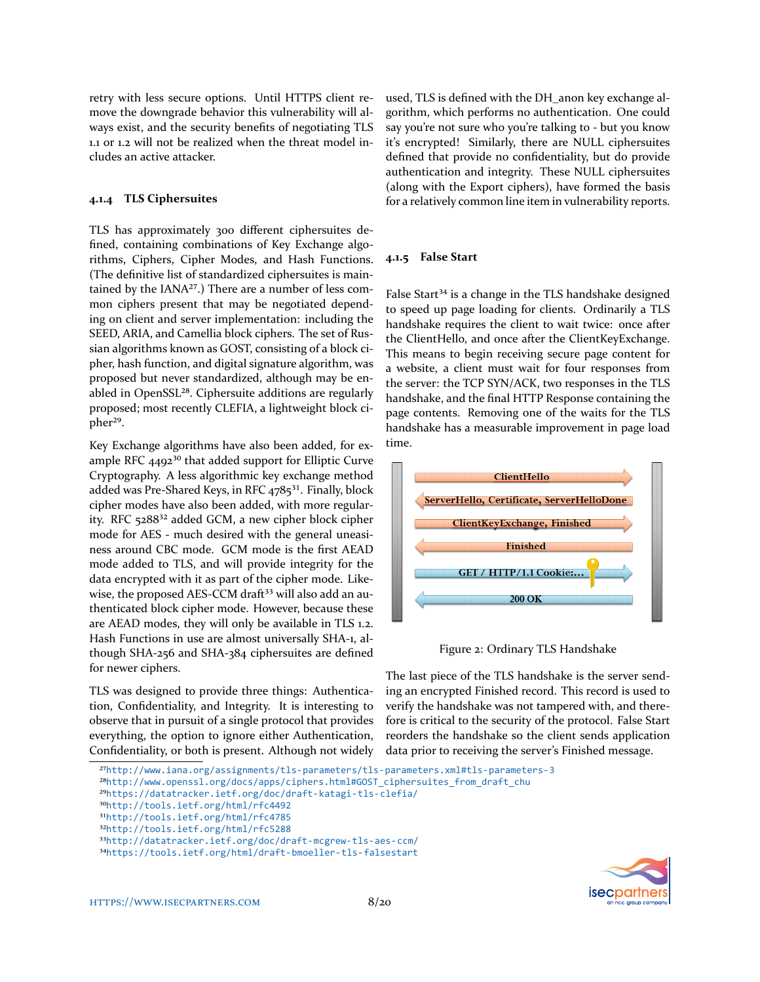retry with less secure options. Until HTTPS client remove the downgrade behavior this vulnerability will always exist, and the security benefits of negotiating TLS 1.1 or 1.2 will not be realized when the threat model includes an active attacker.

### <span id="page-7-0"></span>**4.1.4 TLS Ciphersuites**

TLS has approximately 300 different ciphersuites defined, containing combinations of Key Exchange algorithms, Ciphers, Cipher Modes, and Hash Functions. (The definitive list of standardized ciphersuites is maintained by the  $IANA^{27}$ .) There are a number of less common ciphers present that may be negotiated depending on client and server implementation: including the SEED, ARIA, and Camellia block ciphers. The set of Russian algorithms known as GOST, consisting of a block cipher, hash function, and digital signature algorithm, was proposed but never standardized, although may be enabled in OpenSSL<sup>28</sup>. Ciphersuite additions are regularly proposed; most recently CLEFIA, a lightweight block cipher<sup>29</sup>.

Key Exchange algorithms have also been added, for example RFC  $4492^{30}$  that added support for Elliptic Curve Cryptography. A less algorithmic key exchange method added was Pre-Shared Keys, in RFC  $4785^{31}$ . Finally, block cipher modes have also been added, with more regularity. RFC 5288<sup>32</sup> added GCM, a new cipher block cipher mode for AES - much desired with the general uneasiness around CBC mode. GCM mode is the first AEAD mode added to TLS, and will provide integrity for the data encrypted with it as part of the cipher mode. Likewise, the proposed AES-CCM draft<sup>33</sup> will also add an authenticated block cipher mode. However, because these are AEAD modes, they will only be available in TLS 1.2. Hash Functions in use are almost universally SHA-1, although SHA-256 and SHA-384 ciphersuites are defined for newer ciphers.

TLS was designed to provide three things: Authentication, Confidentiality, and Integrity. It is interesting to observe that in pursuit of a single protocol that provides everything, the option to ignore either Authentication, Confidentiality, or both is present. Although not widely used, TLS is defined with the DH\_anon key exchange algorithm, which performs no authentication. One could say you're not sure who you're talking to - but you know it's encrypted! Similarly, there are NULL ciphersuites defined that provide no confidentiality, but do provide authentication and integrity. These NULL ciphersuites (along with the Export ciphers), have formed the basis for a relatively common line item in vulnerability reports.

### **4.1.5 False Start**

False Start<sup>34</sup> is a change in the TLS handshake designed to speed up page loading for clients. Ordinarily a TLS handshake requires the client to wait twice: once after the ClientHello, and once after the ClientKeyExchange. This means to begin receiving secure page content for a website, a client must wait for four responses from the server: the TCP SYN/ACK, two responses in the TLS handshake, and the final HTTP Response containing the page contents. Removing one of the waits for the TLS handshake has a measurable improvement in page load time.



Figure 2: Ordinary TLS Handshake

The last piece of the TLS handshake is the server sending an encrypted Finished record. This record is used to verify the handshake was not tampered with, and therefore is critical to the security of the protocol. False Start reorders the handshake so the client sends application data prior to receiving the server's Finished message.



<span id="page-7-1"></span>²⁷<http://www.iana.org/assignments/tls-parameters/tls-parameters.xml#tls-parameters-3>

<span id="page-7-2"></span>²⁸[http://www.openssl.org/docs/apps/ciphers.html#GOST\\_ciphersuites\\_from\\_draft\\_chu](http://www.openssl.org/docs/apps/ciphers.html#GOST_ciphersuites_from_draft_chu)

<span id="page-7-3"></span>²⁹<https://datatracker.ietf.org/doc/draft-katagi-tls-clefia/>

<span id="page-7-4"></span>³⁰<http://tools.ietf.org/html/rfc4492>

<span id="page-7-5"></span><sup>31</sup><http://tools.ietf.org/html/rfc4785>

<span id="page-7-6"></span>³²<http://tools.ietf.org/html/rfc5288>

<span id="page-7-7"></span>³³<http://datatracker.ietf.org/doc/draft-mcgrew-tls-aes-ccm/>

<span id="page-7-8"></span><sup>34</sup><https://tools.ietf.org/html/draft-bmoeller-tls-falsestart>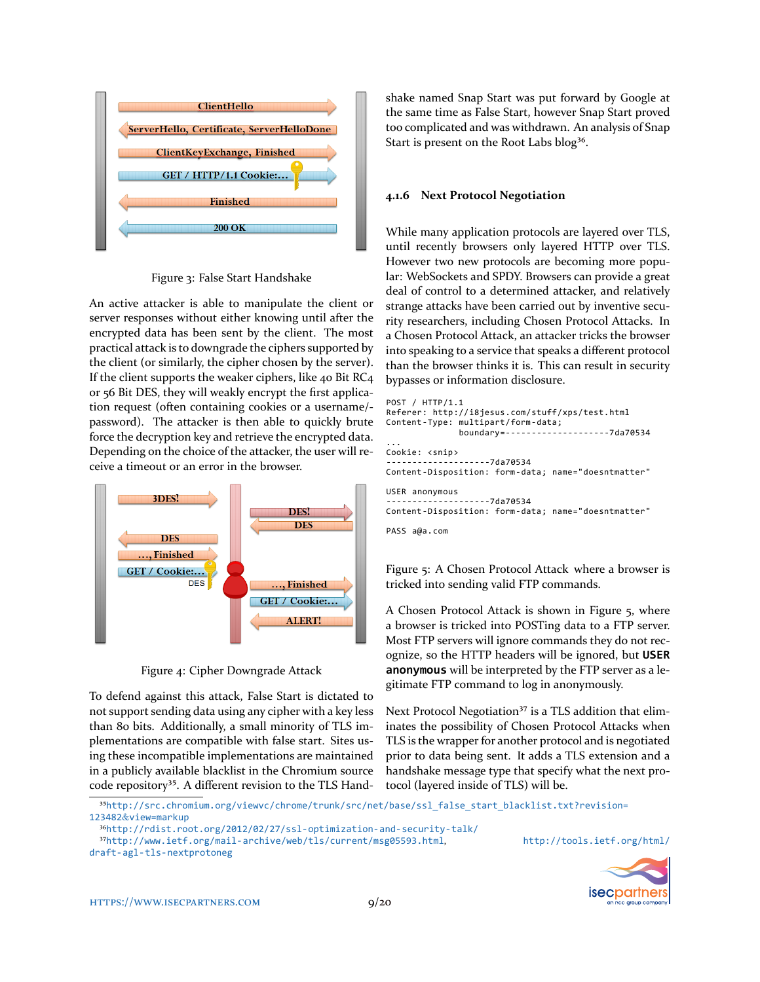

Figure 3: False Start Handshake

An active attacker is able to manipulate the client or server responses without either knowing until after the encrypted data has been sent by the client. The most practical attack is to downgrade the ciphers supported by the client (or similarly, the cipher chosen by the server). If the client supports the weaker ciphers, like 40 Bit RC4 or 56 Bit DES, they will weakly encrypt the first application request (often containing cookies or a username/ password). The attacker is then able to quickly brute force the decryption key and retrieve the encrypted data. Depending on the choice of the attacker, the user will receive a timeout or an error in the browser.



Figure 4: Cipher Downgrade Attack

To defend against this attack, False Start is dictated to not support sending data using any cipher with a key less than 80 bits. Additionally, a small minority of TLS implementations are compatible with false start. Sites using these incompatible implementations are maintained in a publicly available blacklist in the Chromium source code repository<sup>35</sup>. A different revision to the TLS Handshake named Snap Start was put forward by Google at the same time as False Start, however Snap Start proved too complicated and was withdrawn. An analysis of Snap Start is present on the Root Labs blog<sup>36</sup>.

### **4.1.6 Next Protocol Negotiation**

While many application protocols are layered over TLS, until recently browsers only layered HTTP over TLS. However two new protocols are becoming more popular: WebSockets and SPDY. Browsers can provide a great deal of control to a determined attacker, and relatively strange attacks have been carried out by inventive security researchers, including Chosen Protocol Attacks. In a Chosen Protocol Attack, an attacker tricks the browser into speaking to a service that speaks a different protocol than the browser thinks it is. This can result in security bypasses or information disclosure.

```
POST / HTTP/1.1
Referer: http://i8jesus.com/stuff/xps/test.html
Content-Type: multipart/form-data;
              boundary=--------------------7da70534
...
Cookie: <snip>
           --------------------7da70534
Content-Disposition: form-data; name="doesntmatter"
USER anonymous
--------------------7da70534
Content-Disposition: form-data; name="doesntmatter"
PASS a@a.com
```
<span id="page-8-2"></span>Figure 5: A Chosen Protocol Attack where a browser is tricked into sending valid FTP commands.

A Chosen Protocol Attack is shown in Figure [5,](#page-8-2) where a browser is tricked into POSTing data to a FTP server. Most FTP servers will ignore commands they do not recognize, so the HTTP headers will be ignored, but **USER anonymous** will be interpreted by the FTP server as a legitimate FTP command to log in anonymously.

Next Protocol Negotiation<sup>37</sup> is a TLS addition that eliminates the possibility of Chosen Protocol Attacks when TLS is the wrapper for another protocol and is negotiated prior to data being sent. It adds a TLS extension and a handshake message type that specify what the next protocol (layered inside of TLS) will be.

<span id="page-8-0"></span>³⁵[http://src.chromium.org/viewvc/chrome/trunk/src/net/base/ssl\\_false\\_start\\_blacklist.txt?revision=](http://src.chromium.org/viewvc/chrome/trunk/src/net/base/ssl_false_start_blacklist.txt?revision=123482&view=markup) 123482&[view=markup](http://src.chromium.org/viewvc/chrome/trunk/src/net/base/ssl_false_start_blacklist.txt?revision=123482&view=markup)



<span id="page-8-1"></span>³⁶<http://rdist.root.org/2012/02/27/ssl-optimization-and-security-talk/>

<span id="page-8-3"></span>³⁷<http://www.ietf.org/mail-archive/web/tls/current/msg05593.html>, [http://tools.ietf.org/html/](http://tools.ietf.org/html/draft-agl-tls-nextprotoneg)

[draft-agl-tls-nextprotoneg](http://tools.ietf.org/html/draft-agl-tls-nextprotoneg)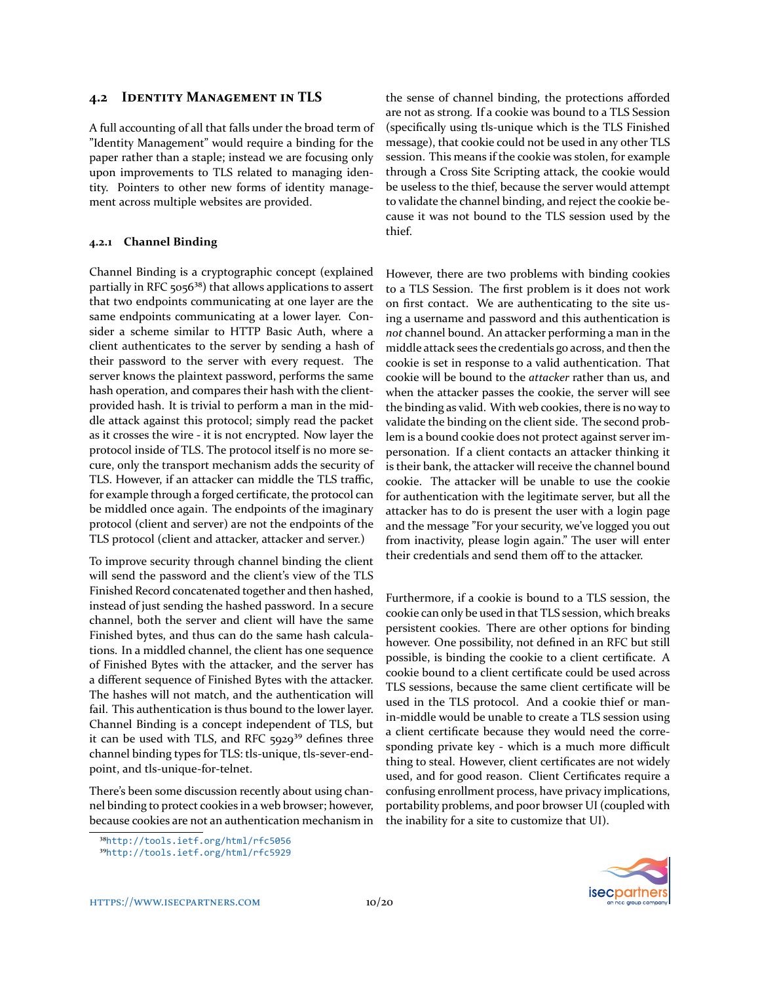### **4.2 IDENTITY MANAGEMENT IN TLS**

A full accounting of all that falls under the broad term of "Identity Management" would require a binding for the paper rather than a staple; instead we are focusing only upon improvements to TLS related to managing identity. Pointers to other new forms of identity management across multiple websites are provided.

#### **4.2.1 Channel Binding**

Channel Binding is a cryptographic concept (explained partially in RFC 5056<sup>38</sup>) that allows applications to assert that two endpoints communicating at one layer are the same endpoints communicating at a lower layer. Consider a scheme similar to HTTP Basic Auth, where a client authenticates to the server by sending a hash of their password to the server with every request. The server knows the plaintext password, performs the same hash operation, and compares their hash with the clientprovided hash. It is trivial to perform a man in the middle attack against this protocol; simply read the packet as it crosses the wire - it is not encrypted. Now layer the protocol inside of TLS. The protocol itself is no more secure, only the transport mechanism adds the security of TLS. However, if an attacker can middle the TLS traffic, for example through a forged certificate, the protocol can be middled once again. The endpoints of the imaginary protocol (client and server) are not the endpoints of the TLS protocol (client and attacker, attacker and server.)

To improve security through channel binding the client will send the password and the client's view of the TLS Finished Record concatenated together and then hashed, instead of just sending the hashed password. In a secure channel, both the server and client will have the same Finished bytes, and thus can do the same hash calculations. In a middled channel, the client has one sequence of Finished Bytes with the attacker, and the server has a different sequence of Finished Bytes with the attacker. The hashes will not match, and the authentication will fail. This authentication is thus bound to the lower layer. Channel Binding is a concept independent of TLS, but it can be used with TLS, and RFC  $5929^{39}$  defines three channel binding types for TLS: tls-unique, tls-sever-endpoint, and tls-unique-for-telnet.

There's been some discussion recently about using channel binding to protect cookies in a web browser; however, because cookies are not an authentication mechanism in

<span id="page-9-0"></span>³⁸<http://tools.ietf.org/html/rfc5056>

the sense of channel binding, the protections afforded are not as strong. If a cookie was bound to a TLS Session (specifically using tls-unique which is the TLS Finished message), that cookie could not be used in any other TLS session. This means if the cookie was stolen, for example through a Cross Site Scripting attack, the cookie would be useless to the thief, because the server would attempt to validate the channel binding, and reject the cookie because it was not bound to the TLS session used by the thief.

However, there are two problems with binding cookies to a TLS Session. The first problem is it does not work on first contact. We are authenticating to the site using a username and password and this authentication is *not* channel bound. An attacker performing a man in the middle attack sees the credentials go across, and then the cookie is set in response to a valid authentication. That cookie will be bound to the *attacker* rather than us, and when the attacker passes the cookie, the server will see the binding as valid. With web cookies, there is no way to validate the binding on the client side. The second problem is a bound cookie does not protect against server impersonation. If a client contacts an attacker thinking it is their bank, the attacker will receive the channel bound cookie. The attacker will be unable to use the cookie for authentication with the legitimate server, but all the attacker has to do is present the user with a login page and the message "For your security, we've logged you out from inactivity, please login again." The user will enter their credentials and send them off to the attacker.

Furthermore, if a cookie is bound to a TLS session, the cookie can only be used in that TLS session, which breaks persistent cookies. There are other options for binding however. One possibility, not defined in an RFC but still possible, is binding the cookie to a client certificate. A cookie bound to a client certificate could be used across TLS sessions, because the same client certificate will be used in the TLS protocol. And a cookie thief or manin-middle would be unable to create a TLS session using a client certificate because they would need the corresponding private key - which is a much more difficult thing to steal. However, client certificates are not widely used, and for good reason. Client Certificates require a confusing enrollment process, have privacy implications, portability problems, and poor browser UI (coupled with the inability for a site to customize that UI).



<span id="page-9-1"></span>³⁹<http://tools.ietf.org/html/rfc5929>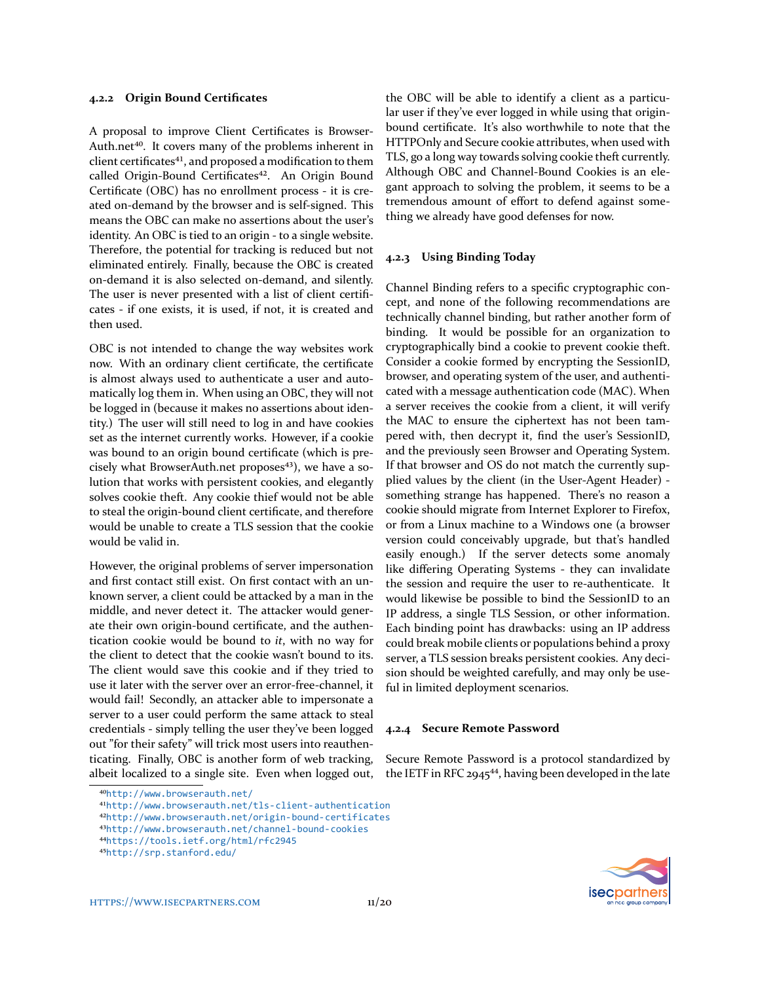#### **4.2.2 Origin Bound Certificates**

A proposal to improve Client Certificates is Browser-Auth.net<sup>40</sup>. It covers many of the problems inherent in client certificates<sup>41</sup>, and proposed a modification to them called Origin-Bound Certificates<sup>42</sup>. An Origin Bound Certificate (OBC) has no enrollment process - it is created on-demand by the browser and is self-signed. This means the OBC can make no assertions about the user's identity. An OBC is tied to an origin - to a single website. Therefore, the potential for tracking is reduced but not eliminated entirely. Finally, because the OBC is created on-demand it is also selected on-demand, and silently. The user is never presented with a list of client certificates - if one exists, it is used, if not, it is created and then used.

OBC is not intended to change the way websites work now. With an ordinary client certificate, the certificate is almost always used to authenticate a user and automatically log them in. When using an OBC, they will not be logged in (because it makes no assertions about identity.) The user will still need to log in and have cookies set as the internet currently works. However, if a cookie was bound to an origin bound certificate (which is precisely what BrowserAuth.net proposes $43$ ), we have a solution that works with persistent cookies, and elegantly solves cookie theft. Any cookie thief would not be able to steal the origin-bound client certificate, and therefore would be unable to create a TLS session that the cookie would be valid in.

However, the original problems of server impersonation and first contact still exist. On first contact with an unknown server, a client could be attacked by a man in the middle, and never detect it. The attacker would generate their own origin-bound certificate, and the authentication cookie would be bound to *it*, with no way for the client to detect that the cookie wasn't bound to its. The client would save this cookie and if they tried to use it later with the server over an error-free-channel, it would fail! Secondly, an attacker able to impersonate a server to a user could perform the same attack to steal credentials - simply telling the user they've been logged out "for their safety" will trick most users into reauthenticating. Finally, OBC is another form of web tracking, albeit localized to a single site. Even when logged out,

<span id="page-10-0"></span>⁴⁰<http://www.browserauth.net/>

the OBC will be able to identify a client as a particular user if they've ever logged in while using that originbound certificate. It's also worthwhile to note that the HTTPOnly and Secure cookie attributes, when used with TLS, go a long way towards solving cookie theft currently. Although OBC and Channel-Bound Cookies is an elegant approach to solving the problem, it seems to be a tremendous amount of effort to defend against something we already have good defenses for now.

#### **4.2.3 Using Binding Today**

Channel Binding refers to a specific cryptographic concept, and none of the following recommendations are technically channel binding, but rather another form of binding. It would be possible for an organization to cryptographically bind a cookie to prevent cookie theft. Consider a cookie formed by encrypting the SessionID, browser, and operating system of the user, and authenticated with a message authentication code (MAC). When a server receives the cookie from a client, it will verify the MAC to ensure the ciphertext has not been tampered with, then decrypt it, find the user's SessionID, and the previously seen Browser and Operating System. If that browser and OS do not match the currently supplied values by the client (in the User-Agent Header) something strange has happened. There's no reason a cookie should migrate from Internet Explorer to Firefox, or from a Linux machine to a Windows one (a browser version could conceivably upgrade, but that's handled easily enough.) If the server detects some anomaly like differing Operating Systems - they can invalidate the session and require the user to re-authenticate. It would likewise be possible to bind the SessionID to an IP address, a single TLS Session, or other information. Each binding point has drawbacks: using an IP address could break mobile clients or populations behind a proxy server, a TLS session breaks persistent cookies. Any decision should be weighted carefully, and may only be useful in limited deployment scenarios.

#### **4.2.4 Secure Remote Password**

Secure Remote Password is a protocol standardized by the IETF in RFC 2945 $44$ , having been developed in the late



<span id="page-10-1"></span><sup>41</sup><http://www.browserauth.net/tls-client-authentication>

<span id="page-10-2"></span>⁴²<http://www.browserauth.net/origin-bound-certificates>

<span id="page-10-3"></span>⁴³<http://www.browserauth.net/channel-bound-cookies>

<span id="page-10-4"></span>⁴⁴<https://tools.ietf.org/html/rfc2945>

<span id="page-10-5"></span>⁴⁵<http://srp.stanford.edu/>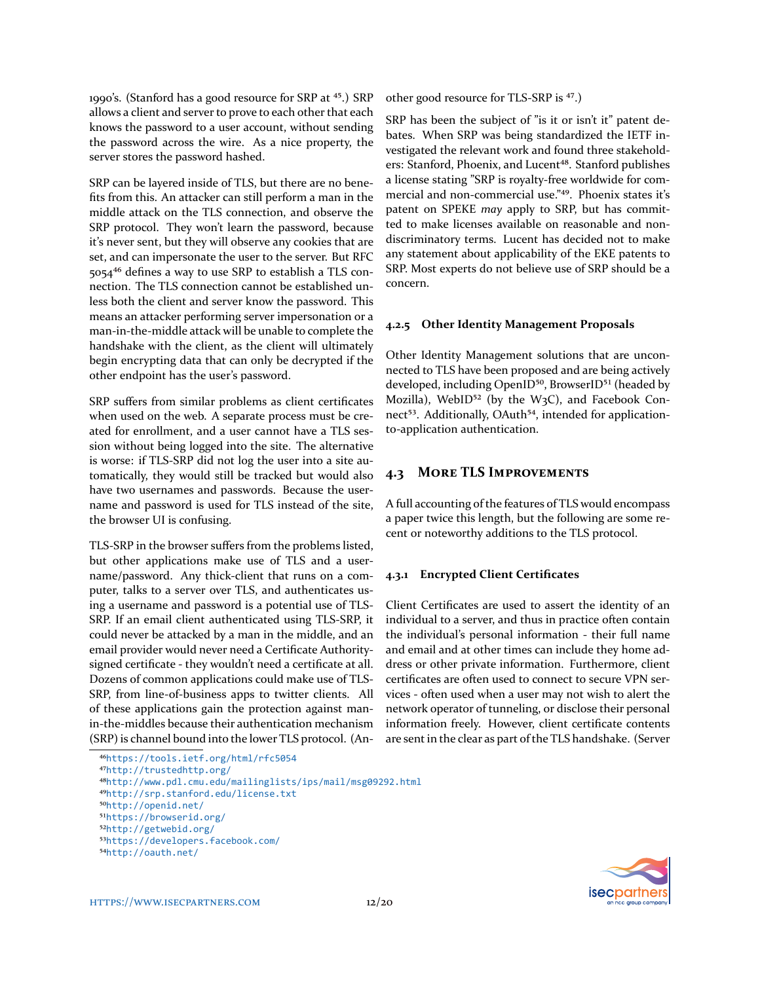1990's. (Stanford has a good resource for SRP at <sup>45</sup>.) SRP allows a client and server to prove to each other that each knows the password to a user account, without sending the password across the wire. As a nice property, the server stores the password hashed.

SRP can be layered inside of TLS, but there are no benefits from this. An attacker can still perform a man in the middle attack on the TLS connection, and observe the SRP protocol. They won't learn the password, because it's never sent, but they will observe any cookies that are set, and can impersonate the user to the server. But RFC 5054<sup>46</sup> defines a way to use SRP to establish a TLS connection. The TLS connection cannot be established unless both the client and server know the password. This means an attacker performing server impersonation or a man-in-the-middle attack will be unable to complete the handshake with the client, as the client will ultimately begin encrypting data that can only be decrypted if the other endpoint has the user's password.

SRP suffers from similar problems as client certificates when used on the web. A separate process must be created for enrollment, and a user cannot have a TLS session without being logged into the site. The alternative is worse: if TLS-SRP did not log the user into a site automatically, they would still be tracked but would also have two usernames and passwords. Because the username and password is used for TLS instead of the site, the browser UI is confusing.

TLS-SRP in the browser suffers from the problems listed, but other applications make use of TLS and a username/password. Any thick-client that runs on a computer, talks to a server over TLS, and authenticates using a username and password is a potential use of TLS-SRP. If an email client authenticated using TLS-SRP, it could never be attacked by a man in the middle, and an email provider would never need a Certificate Authoritysigned certificate - they wouldn't need a certificate at all. Dozens of common applications could make use of TLS-SRP, from line-of-business apps to twitter clients. All of these applications gain the protection against manin-the-middles because their authentication mechanism (SRP) is channel bound into the lower TLS protocol. (Another good resource for TLS-SRP is <sup>47</sup>.)

SRP has been the subject of "is it or isn't it" patent debates. When SRP was being standardized the IETF investigated the relevant work and found three stakeholders: Stanford, Phoenix, and Lucent<sup>48</sup>. Stanford publishes a license stating "SRP is royalty-free worldwide for commercial and non-commercial use."<sup>49</sup>. Phoenix states it's patent on SPEKE *may* apply to SRP, but has committed to make licenses available on reasonable and nondiscriminatory terms. Lucent has decided not to make any statement about applicability of the EKE patents to SRP. Most experts do not believe use of SRP should be a concern.

### **4.2.5 Other Identity Management Proposals**

Other Identity Management solutions that are unconnected to TLS have been proposed and are being actively developed, including OpenID<sup>50</sup>, BrowserID<sup>51</sup> (headed by Mozilla), WebID $52$  (by the W<sub>3</sub>C), and Facebook Connect<sup>53</sup>. Additionally, OAuth<sup>54</sup>, intended for applicationto-application authentication.

### **4.3 MORE TLS IMPROVEMENTS**

A full accounting of the features of TLS would encompass a paper twice this length, but the following are some recent or noteworthy additions to the TLS protocol.

#### **4.3.1 Encrypted Client Certificates**

Client Certificates are used to assert the identity of an individual to a server, and thus in practice often contain the individual's personal information - their full name and email and at other times can include they home address or other private information. Furthermore, client certificates are often used to connect to secure VPN services - often used when a user may not wish to alert the network operator of tunneling, or disclose their personal information freely. However, client certificate contents are sent in the clear as part of the TLS handshake. (Server



<span id="page-11-0"></span>⁴⁶<https://tools.ietf.org/html/rfc5054>

<span id="page-11-1"></span>⁴⁷<http://trustedhttp.org/>

<span id="page-11-2"></span>⁴⁸<http://www.pdl.cmu.edu/mailinglists/ips/mail/msg09292.html>

<span id="page-11-3"></span>⁴⁹<http://srp.stanford.edu/license.txt>

<span id="page-11-4"></span>⁵⁰<http://openid.net/>

<span id="page-11-5"></span>⁵¹<https://browserid.org/>

<span id="page-11-6"></span>⁵²<http://getwebid.org/>

<span id="page-11-7"></span>⁵³<https://developers.facebook.com/>

<span id="page-11-8"></span>⁵⁴<http://oauth.net/>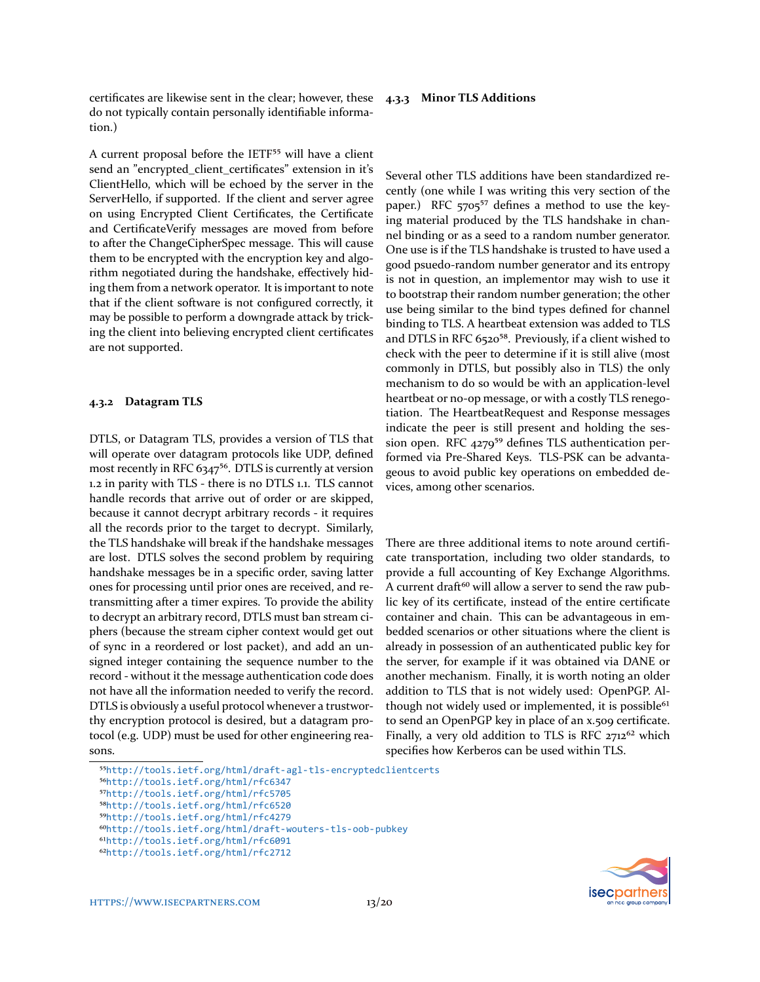certificates are likewise sent in the clear; however, these do not typically contain personally identifiable information.)

A current proposal before the IETF<sup>55</sup> will have a client send an "encrypted\_client\_certificates" extension in it's ClientHello, which will be echoed by the server in the ServerHello, if supported. If the client and server agree on using Encrypted Client Certificates, the Certificate and CertificateVerify messages are moved from before to after the ChangeCipherSpec message. This will cause them to be encrypted with the encryption key and algorithm negotiated during the handshake, effectively hiding them from a network operator. It is important to note that if the client software is not configured correctly, it may be possible to perform a downgrade attack by tricking the client into believing encrypted client certificates are not supported.

#### **4.3.2 Datagram TLS**

DTLS, or Datagram TLS, provides a version of TLS that will operate over datagram protocols like UDP, defined most recently in RFC 6347<sup>56</sup>. DTLS is currently at version 1.2 in parity with TLS - there is no DTLS 1.1. TLS cannot handle records that arrive out of order or are skipped, because it cannot decrypt arbitrary records - it requires all the records prior to the target to decrypt. Similarly, the TLS handshake will break if the handshake messages are lost. DTLS solves the second problem by requiring handshake messages be in a specific order, saving latter ones for processing until prior ones are received, and retransmitting after a timer expires. To provide the ability to decrypt an arbitrary record, DTLS must ban stream ciphers (because the stream cipher context would get out of sync in a reordered or lost packet), and add an unsigned integer containing the sequence number to the record - without it the message authentication code does not have all the information needed to verify the record. DTLS is obviously a useful protocol whenever a trustworthy encryption protocol is desired, but a datagram protocol (e.g. UDP) must be used for other engineering reasons.

#### **4.3.3 Minor TLS Additions**

Several other TLS additions have been standardized recently (one while I was writing this very section of the paper.) RFC  $5705^{57}$  defines a method to use the keying material produced by the TLS handshake in channel binding or as a seed to a random number generator. One use is if the TLS handshake is trusted to have used a good psuedo-random number generator and its entropy is not in question, an implementor may wish to use it to bootstrap their random number generation; the other use being similar to the bind types defined for channel binding to TLS. A heartbeat extension was added to TLS and DTLS in RFC 6520<sup>58</sup>. Previously, if a client wished to check with the peer to determine if it is still alive (most commonly in DTLS, but possibly also in TLS) the only mechanism to do so would be with an application-level heartbeat or no-op message, or with a costly TLS renegotiation. The HeartbeatRequest and Response messages indicate the peer is still present and holding the session open. RFC  $4279^{59}$  defines TLS authentication performed via Pre-Shared Keys. TLS-PSK can be advantageous to avoid public key operations on embedded devices, among other scenarios.

There are three additional items to note around certificate transportation, including two older standards, to provide a full accounting of Key Exchange Algorithms. A current draft<sup>60</sup> will allow a server to send the raw public key of its certificate, instead of the entire certificate container and chain. This can be advantageous in embedded scenarios or other situations where the client is already in possession of an authenticated public key for the server, for example if it was obtained via DANE or another mechanism. Finally, it is worth noting an older addition to TLS that is not widely used: OpenPGP. Although not widely used or implemented, it is possible<sup>61</sup> to send an OpenPGP key in place of an x.509 certificate. Finally, a very old addition to TLS is RFC  $2712^{62}$  which specifies how Kerberos can be used within TLS.



<span id="page-12-0"></span>⁵⁵<http://tools.ietf.org/html/draft-agl-tls-encryptedclientcerts>

<span id="page-12-1"></span>⁵⁶<http://tools.ietf.org/html/rfc6347>

<span id="page-12-2"></span>⁵⁷<http://tools.ietf.org/html/rfc5705>

<span id="page-12-3"></span>⁵⁸<http://tools.ietf.org/html/rfc6520>

<span id="page-12-4"></span>⁵⁹<http://tools.ietf.org/html/rfc4279>

<span id="page-12-5"></span>⁶⁰<http://tools.ietf.org/html/draft-wouters-tls-oob-pubkey>

<span id="page-12-6"></span>⁶¹<http://tools.ietf.org/html/rfc6091>

<span id="page-12-7"></span>⁶²<http://tools.ietf.org/html/rfc2712>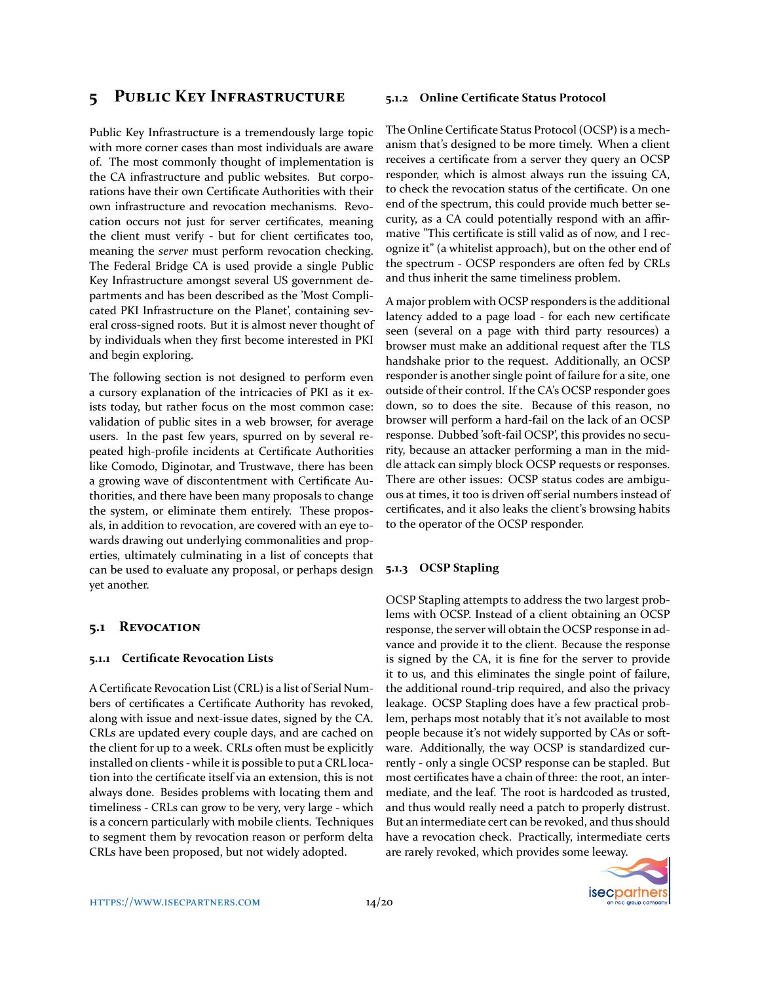## 5 PUBLIC KEY INFRASTRUCTURE

Public Key Infrastructure is a tremendously large topic with more corner cases than most individuals are aware of. The most commonly thought of implementation is the CA infrastructure and public websites. But corporations have their own Certificate Authorities with their own infrastructure and revocation mechanisms. Revocation occurs not just for server certificates, meaning the client must verify - but for client certificates too, meaning the *server* must perform revocation checking. The Federal Bridge CA is used provide a single Public Key Infrastructure amongst several US government departments and has been described as the 'Most Complicated PKI Infrastructure on the Planet', containing several cross-signed roots. But it is almost never thought of by individuals when they first become interested in PKI and begin exploring.

The following section is not designed to perform even a cursory explanation of the intricacies of PKI as it exists today, but rather focus on the most common case: validation of public sites in a web browser, for average users. In the past few years, spurred on by several repeated high-profile incidents at Certificate Authorities like Comodo, Diginotar, and Trustwave, there has been a growing wave of discontentment with Certificate Authorities, and there have been many proposals to change the system, or eliminate them entirely. These proposals, in addition to revocation, are covered with an eye towards drawing out underlying commonalities and properties, ultimately culminating in a list of concepts that can be used to evaluate any proposal, or perhaps design yet another.

#### **5.1 REVOCATION**

#### **5.1.1 Certificate Revocation Lists**

A Certificate Revocation List (CRL) is a list of Serial Numbers of certificates a Certificate Authority has revoked, along with issue and next-issue dates, signed by the CA. CRLs are updated every couple days, and are cached on the client for up to a week. CRLs often must be explicitly installed on clients - while it is possible to put a CRL location into the certificate itself via an extension, this is not always done. Besides problems with locating them and timeliness - CRLs can grow to be very, very large - which is a concern particularly with mobile clients. Techniques to segment them by revocation reason or perform delta CRLs have been proposed, but not widely adopted.

#### **5.1.2 Online Certificate Status Protocol**

The Online Certificate Status Protocol (OCSP) is a mechanism that's designed to be more timely. When a client receives a certificate from a server they query an OCSP responder, which is almost always run the issuing CA, to check the revocation status of the certificate. On one end of the spectrum, this could provide much better security, as a CA could potentially respond with an affirmative "This certificate is still valid as of now, and I recognize it" (a whitelist approach), but on the other end of the spectrum - OCSP responders are often fed by CRLs and thus inherit the same timeliness problem.

A major problem with OCSP responders is the additional latency added to a page load - for each new certificate seen (several on a page with third party resources) a browser must make an additional request after the TLS handshake prior to the request. Additionally, an OCSP responder is another single point of failure for a site, one outside of their control. If the CA's OCSP responder goes down, so to does the site. Because of this reason, no browser will perform a hard-fail on the lack of an OCSP response. Dubbed 'soft-fail OCSP', this provides no security, because an attacker performing a man in the middle attack can simply block OCSP requests or responses. There are other issues: OCSP status codes are ambiguous at times, it too is driven off serial numbers instead of certificates, and it also leaks the client's browsing habits to the operator of the OCSP responder.

#### **5.1.3 OCSP Stapling**

OCSP Stapling attempts to address the two largest problems with OCSP. Instead of a client obtaining an OCSP response, the server will obtain the OCSP response in advance and provide it to the client. Because the response is signed by the CA, it is fine for the server to provide it to us, and this eliminates the single point of failure, the additional round-trip required, and also the privacy leakage. OCSP Stapling does have a few practical problem, perhaps most notably that it's not available to most people because it's not widely supported by CAs or software. Additionally, the way OCSP is standardized currently - only a single OCSP response can be stapled. But most certificates have a chain of three: the root, an intermediate, and the leaf. The root is hardcoded as trusted, and thus would really need a patch to properly distrust. But an intermediate cert can be revoked, and thus should have a revocation check. Practically, intermediate certs are rarely revoked, which provides some leeway.

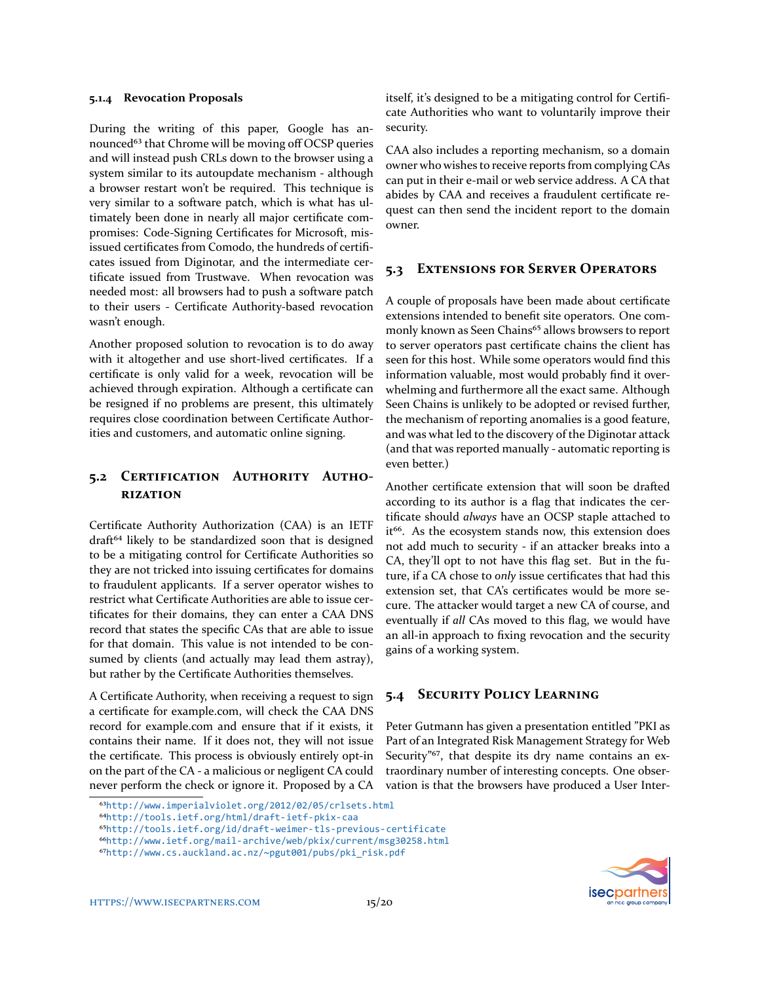#### **5.1.4 Revocation Proposals**

During the writing of this paper, Google has announced<sup>63</sup> that Chrome will be moving off OCSP queries and will instead push CRLs down to the browser using a system similar to its autoupdate mechanism - although a browser restart won't be required. This technique is very similar to a software patch, which is what has ultimately been done in nearly all major certificate compromises: Code-Signing Certificates for Microsoft, misissued certificates from Comodo, the hundreds of certificates issued from Diginotar, and the intermediate certificate issued from Trustwave. When revocation was needed most: all browsers had to push a software patch to their users - Certificate Authority-based revocation wasn't enough.

Another proposed solution to revocation is to do away with it altogether and use short-lived certificates. If a certificate is only valid for a week, revocation will be achieved through expiration. Although a certificate can be resigned if no problems are present, this ultimately requires close coordination between Certificate Authorities and customers, and automatic online signing.

### <span id="page-14-0"></span>5.2 CERTIFICATION AUTHORITY AUTHO-**RIZATION**

Certificate Authority Authorization (CAA) is an IETF draft<sup>64</sup> likely to be standardized soon that is designed to be a mitigating control for Certificate Authorities so they are not tricked into issuing certificates for domains to fraudulent applicants. If a server operator wishes to restrict what Certificate Authorities are able to issue certificates for their domains, they can enter a CAA DNS record that states the specific CAs that are able to issue for that domain. This value is not intended to be consumed by clients (and actually may lead them astray), but rather by the Certificate Authorities themselves.

A Certificate Authority, when receiving a request to sign a certificate for example.com, will check the CAA DNS record for example.com and ensure that if it exists, it contains their name. If it does not, they will not issue the certificate. This process is obviously entirely opt-in on the part of the CA - a malicious or negligent CA could never perform the check or ignore it. Proposed by a CA

<span id="page-14-1"></span>⁶³<http://www.imperialviolet.org/2012/02/05/crlsets.html>

itself, it's designed to be a mitigating control for Certificate Authorities who want to voluntarily improve their security.

CAA also includes a reporting mechanism, so a domain owner who wishes to receive reports from complying CAs can put in their e-mail or web service address. A CA that abides by CAA and receives a fraudulent certificate request can then send the incident report to the domain owner.

### **5.3 EXTENSIONS FOR SERVER OPERATORS**

A couple of proposals have been made about certificate extensions intended to benefit site operators. One commonly known as Seen Chains<sup>65</sup> allows browsers to report to server operators past certificate chains the client has seen for this host. While some operators would find this information valuable, most would probably find it overwhelming and furthermore all the exact same. Although Seen Chains is unlikely to be adopted or revised further, the mechanism of reporting anomalies is a good feature, and was what led to the discovery of the Diginotar attack (and that was reported manually - automatic reporting is even better.)

Another certificate extension that will soon be drafted according to its author is a flag that indicates the certificate should *always* have an OCSP staple attached to it<sup>66</sup>. As the ecosystem stands now, this extension does not add much to security - if an attacker breaks into a CA, they'll opt to not have this flag set. But in the future, if a CA chose to *only* issue certificates that had this extension set, that CA's certificates would be more secure. The attacker would target a new CA of course, and eventually if *all* CAs moved to this flag, we would have an all-in approach to fixing revocation and the security gains of a working system.

### **5.4 SECURITY POLICY LEARNING**

Peter Gutmann has given a presentation entitled "PKI as Part of an Integrated Risk Management Strategy for Web Security"<sup>67</sup>, that despite its dry name contains an extraordinary number of interesting concepts. One observation is that the browsers have produced a User Inter-



<span id="page-14-2"></span>⁶⁴<http://tools.ietf.org/html/draft-ietf-pkix-caa>

<span id="page-14-3"></span>⁶⁵<http://tools.ietf.org/id/draft-weimer-tls-previous-certificate>

<span id="page-14-4"></span>⁶⁶<http://www.ietf.org/mail-archive/web/pkix/current/msg30258.html>

<span id="page-14-5"></span>⁶⁷[http://www.cs.auckland.ac.nz/~pgut001/pubs/pki\\_risk.pdf](http://www.cs.auckland.ac.nz/~pgut001/pubs/pki_risk.pdf)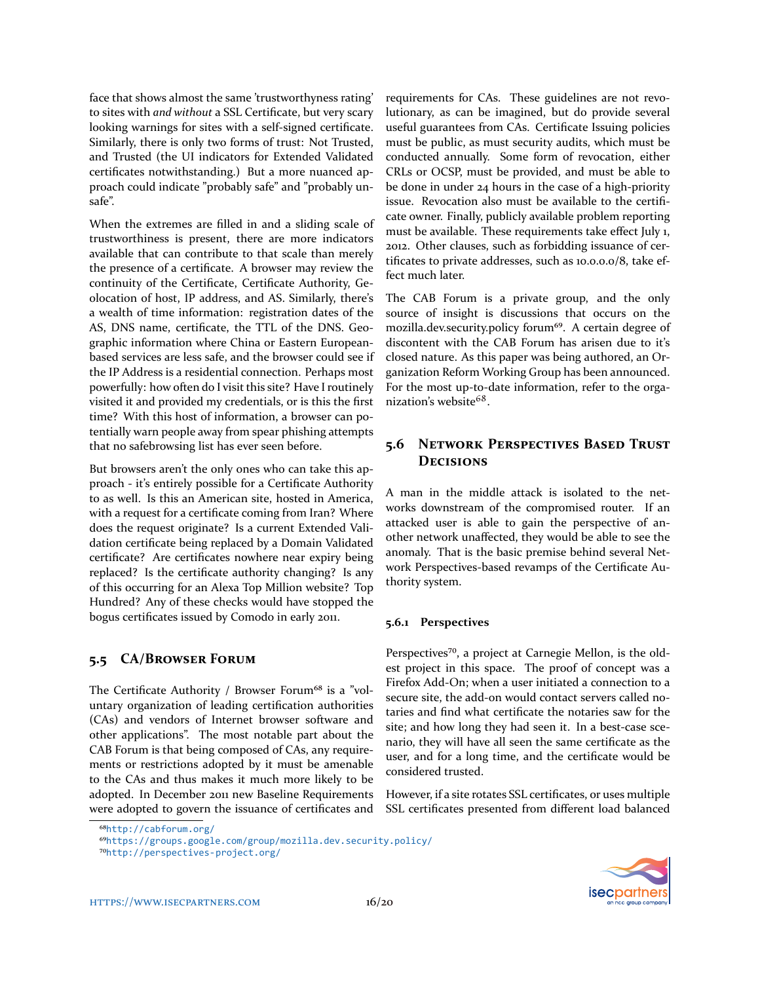face that shows almost the same 'trustworthyness rating' to sites with *and without* a SSL Certificate, but very scary looking warnings for sites with a self-signed certificate. Similarly, there is only two forms of trust: Not Trusted, and Trusted (the UI indicators for Extended Validated certificates notwithstanding.) But a more nuanced approach could indicate "probably safe" and "probably unsafe".

When the extremes are filled in and a sliding scale of trustworthiness is present, there are more indicators available that can contribute to that scale than merely the presence of a certificate. A browser may review the continuity of the Certificate, Certificate Authority, Geolocation of host, IP address, and AS. Similarly, there's a wealth of time information: registration dates of the AS, DNS name, certificate, the TTL of the DNS. Geographic information where China or Eastern Europeanbased services are less safe, and the browser could see if the IP Address is a residential connection. Perhaps most powerfully: how often do I visit this site? Have I routinely visited it and provided my credentials, or is this the first time? With this host of information, a browser can potentially warn people away from spear phishing attempts that no safebrowsing list has ever seen before.

But browsers aren't the only ones who can take this approach - it's entirely possible for a Certificate Authority to as well. Is this an American site, hosted in America, with a request for a certificate coming from Iran? Where does the request originate? Is a current Extended Validation certificate being replaced by a Domain Validated certificate? Are certificates nowhere near expiry being replaced? Is the certificate authority changing? Is any of this occurring for an Alexa Top Million website? Top Hundred? Any of these checks would have stopped the bogus certificates issued by Comodo in early 2011.

### **5.5 CA/BROWSER FORUM**

The Certificate Authority / Browser Forum<sup>68</sup> is a "voluntary organization of leading certification authorities (CAs) and vendors of Internet browser software and other applications". The most notable part about the CAB Forum is that being composed of CAs, any requirements or restrictions adopted by it must be amenable to the CAs and thus makes it much more likely to be adopted. In December 2011 new Baseline Requirements were adopted to govern the issuance of certificates and

requirements for CAs. These guidelines are not revolutionary, as can be imagined, but do provide several useful guarantees from CAs. Certificate Issuing policies must be public, as must security audits, which must be conducted annually. Some form of revocation, either CRLs or OCSP, must be provided, and must be able to be done in under 24 hours in the case of a high-priority issue. Revocation also must be available to the certificate owner. Finally, publicly available problem reporting must be available. These requirements take effect July 1, 2012. Other clauses, such as forbidding issuance of certificates to private addresses, such as 10.0.0.0/8, take effect much later.

The CAB Forum is a private group, and the only source of insight is discussions that occurs on the mozilla.dev.security.policy forum<sup>69</sup>. A certain degree of discontent with the CAB Forum has arisen due to it's closed nature. As this paper was being authored, an Organization Reform Working Group has been announced. For the most up-to-date information, refer to the orga-nization's website<sup>[68](#page-15-0)</sup>.

### 5.6 NETWORK PERSPECTIVES BASED TRUST **DECISIONS**

A man in the middle attack is isolated to the networks downstream of the compromised router. If an attacked user is able to gain the perspective of another network unaffected, they would be able to see the anomaly. That is the basic premise behind several Network Perspectives-based revamps of the Certificate Authority system.

#### **5.6.1 Perspectives**

Perspectives<sup>70</sup>, a project at Carnegie Mellon, is the oldest project in this space. The proof of concept was a Firefox Add-On; when a user initiated a connection to a secure site, the add-on would contact servers called notaries and find what certificate the notaries saw for the site; and how long they had seen it. In a best-case scenario, they will have all seen the same certificate as the user, and for a long time, and the certificate would be considered trusted.

However, if a site rotates SSL certificates, or uses multiple SSL certificates presented from different load balanced



<span id="page-15-0"></span>⁶⁸<http://cabforum.org/>

<span id="page-15-1"></span>⁶⁹<https://groups.google.com/group/mozilla.dev.security.policy/>

<span id="page-15-2"></span>⁷⁰<http://perspectives-project.org/>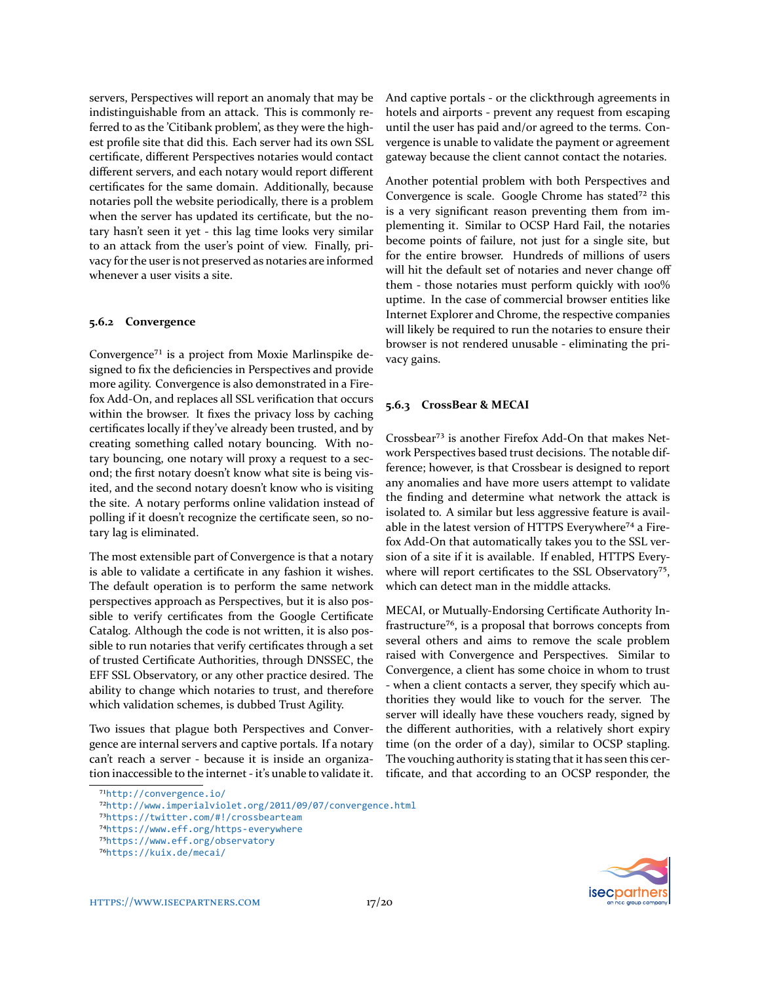servers, Perspectives will report an anomaly that may be indistinguishable from an attack. This is commonly referred to as the 'Citibank problem', as they were the highest profile site that did this. Each server had its own SSL certificate, different Perspectives notaries would contact different servers, and each notary would report different certificates for the same domain. Additionally, because notaries poll the website periodically, there is a problem when the server has updated its certificate, but the notary hasn't seen it yet - this lag time looks very similar to an attack from the user's point of view. Finally, privacy for the user is not preserved as notaries are informed whenever a user visits a site.

#### **5.6.2 Convergence**

Convergence<sup>71</sup> is a project from Moxie Marlinspike designed to fix the deficiencies in Perspectives and provide more agility. Convergence is also demonstrated in a Firefox Add-On, and replaces all SSL verification that occurs within the browser. It fixes the privacy loss by caching certificates locally if they've already been trusted, and by creating something called notary bouncing. With notary bouncing, one notary will proxy a request to a second; the first notary doesn't know what site is being visited, and the second notary doesn't know who is visiting the site. A notary performs online validation instead of polling if it doesn't recognize the certificate seen, so notary lag is eliminated.

The most extensible part of Convergence is that a notary is able to validate a certificate in any fashion it wishes. The default operation is to perform the same network perspectives approach as Perspectives, but it is also possible to verify certificates from the Google Certificate Catalog. Although the code is not written, it is also possible to run notaries that verify certificates through a set of trusted Certificate Authorities, through DNSSEC, the EFF SSL Observatory, or any other practice desired. The ability to change which notaries to trust, and therefore which validation schemes, is dubbed Trust Agility.

Two issues that plague both Perspectives and Convergence are internal servers and captive portals. If a notary can't reach a server - because it is inside an organization inaccessible to the internet - it's unable to validate it. And captive portals - or the clickthrough agreements in hotels and airports - prevent any request from escaping until the user has paid and/or agreed to the terms. Convergence is unable to validate the payment or agreement gateway because the client cannot contact the notaries.

Another potential problem with both Perspectives and Convergence is scale. Google Chrome has stated<sup>72</sup> this is a very significant reason preventing them from implementing it. Similar to OCSP Hard Fail, the notaries become points of failure, not just for a single site, but for the entire browser. Hundreds of millions of users will hit the default set of notaries and never change off them - those notaries must perform quickly with 100% uptime. In the case of commercial browser entities like Internet Explorer and Chrome, the respective companies will likely be required to run the notaries to ensure their browser is not rendered unusable - eliminating the privacy gains.

#### **5.6.3 CrossBear & MECAI**

Crossbear<sup>73</sup> is another Firefox Add-On that makes Network Perspectives based trust decisions. The notable difference; however, is that Crossbear is designed to report any anomalies and have more users attempt to validate the finding and determine what network the attack is isolated to. A similar but less aggressive feature is available in the latest version of HTTPS Everywhere<sup>74</sup> a Firefox Add-On that automatically takes you to the SSL version of a site if it is available. If enabled, HTTPS Everywhere will report certificates to the SSL Observatory<sup>75</sup>, which can detect man in the middle attacks.

MECAI, or Mutually-Endorsing Certificate Authority Infrastructure<sup>76</sup>, is a proposal that borrows concepts from several others and aims to remove the scale problem raised with Convergence and Perspectives. Similar to Convergence, a client has some choice in whom to trust - when a client contacts a server, they specify which authorities they would like to vouch for the server. The server will ideally have these vouchers ready, signed by the different authorities, with a relatively short expiry time (on the order of a day), similar to OCSP stapling. The vouching authority is stating that it has seen this certificate, and that according to an OCSP responder, the



<span id="page-16-0"></span><sup>&</sup>lt;sup>71</sup><http://convergence.io/>

<span id="page-16-1"></span>⁷²<http://www.imperialviolet.org/2011/09/07/convergence.html>

<span id="page-16-2"></span>⁷³<https://twitter.com/#!/crossbearteam>

<span id="page-16-3"></span>⁷⁴<https://www.eff.org/https-everywhere>

<span id="page-16-4"></span>⁷⁵<https://www.eff.org/observatory>

<span id="page-16-5"></span>⁷⁶<https://kuix.de/mecai/>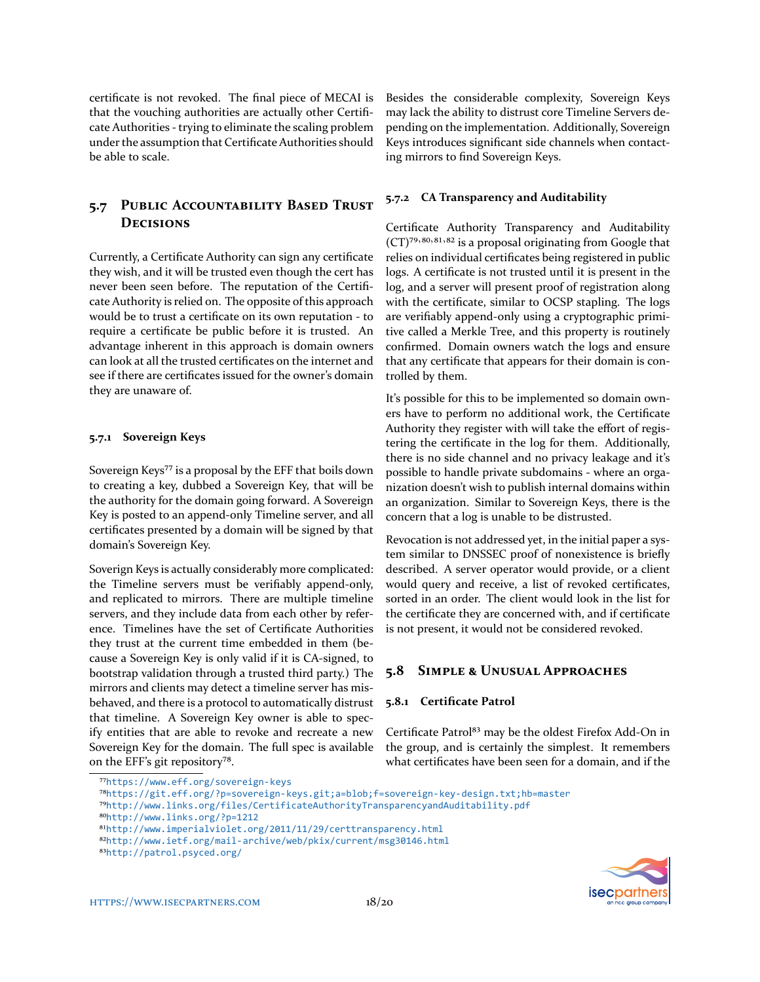certificate is not revoked. The final piece of MECAI is that the vouching authorities are actually other Certificate Authorities - trying to eliminate the scaling problem under the assumption that Certificate Authorities should be able to scale.

### 5.7 PUBLIC ACCOUNTABILITY BASED TRUST **DECISIONS**

Currently, a Certificate Authority can sign any certificate they wish, and it will be trusted even though the cert has never been seen before. The reputation of the Certificate Authority is relied on. The opposite of this approach would be to trust a certificate on its own reputation - to require a certificate be public before it is trusted. An advantage inherent in this approach is domain owners can look at all the trusted certificates on the internet and see if there are certificates issued for the owner's domain they are unaware of.

#### **5.7.1 Sovereign Keys**

Sovereign Keys<sup>77</sup> is a proposal by the EFF that boils down to creating a key, dubbed a Sovereign Key, that will be the authority for the domain going forward. A Sovereign Key is posted to an append-only Timeline server, and all certificates presented by a domain will be signed by that domain's Sovereign Key.

Soverign Keys is actually considerably more complicated: the Timeline servers must be verifiably append-only, and replicated to mirrors. There are multiple timeline servers, and they include data from each other by reference. Timelines have the set of Certificate Authorities they trust at the current time embedded in them (because a Sovereign Key is only valid if it is CA-signed, to bootstrap validation through a trusted third party.) The mirrors and clients may detect a timeline server has misbehaved, and there is a protocol to automatically distrust that timeline. A Sovereign Key owner is able to specify entities that are able to revoke and recreate a new Sovereign Key for the domain. The full spec is available on the EFF's git repository<sup>78</sup>.

Besides the considerable complexity, Sovereign Keys may lack the ability to distrust core Timeline Servers depending on the implementation. Additionally, Sovereign Keys introduces significant side channels when contacting mirrors to find Sovereign Keys.

### **5.7.2 CA Transparency and Auditability**

Certificate Authority Transparency and Auditability (CT)<sup>79,80,81,82</sup> is a proposal originating from Google that relies on individual certificates being registered in public logs. A certificate is not trusted until it is present in the log, and a server will present proof of registration along with the certificate, similar to OCSP stapling. The logs are verifiably append-only using a cryptographic primitive called a Merkle Tree, and this property is routinely confirmed. Domain owners watch the logs and ensure that any certificate that appears for their domain is controlled by them.

It's possible for this to be implemented so domain owners have to perform no additional work, the Certificate Authority they register with will take the effort of registering the certificate in the log for them. Additionally, there is no side channel and no privacy leakage and it's possible to handle private subdomains - where an organization doesn't wish to publish internal domains within an organization. Similar to Sovereign Keys, there is the concern that a log is unable to be distrusted.

Revocation is not addressed yet, in the initial paper a system similar to DNSSEC proof of nonexistence is briefly described. A server operator would provide, or a client would query and receive, a list of revoked certificates, sorted in an order. The client would look in the list for the certificate they are concerned with, and if certificate is not present, it would not be considered revoked.

### **5.8 SIMPLE & UNUSUAL APPROACHES**

#### **5.8.1 Certificate Patrol**

Certificate Patrol<sup>83</sup> may be the oldest Firefox Add-On in the group, and is certainly the simplest. It remembers what certificates have been seen for a domain, and if the



<span id="page-17-0"></span>⁷⁷<https://www.eff.org/sovereign-keys>

<span id="page-17-1"></span>⁷⁸<https://git.eff.org/?p=sovereign-keys.git;a=blob;f=sovereign-key-design.txt;hb=master>

<span id="page-17-2"></span>⁷⁹<http://www.links.org/files/CertificateAuthorityTransparencyandAuditability.pdf>

<span id="page-17-3"></span>⁸⁰<http://www.links.org/?p=1212>

<span id="page-17-4"></span> $$^{81}$ <http://www.imperialviolet.org/2011/11/29/certtransparency.html>

<span id="page-17-5"></span>⁸²<http://www.ietf.org/mail-archive/web/pkix/current/msg30146.html>

<span id="page-17-6"></span>⁸³<http://patrol.psyced.org/>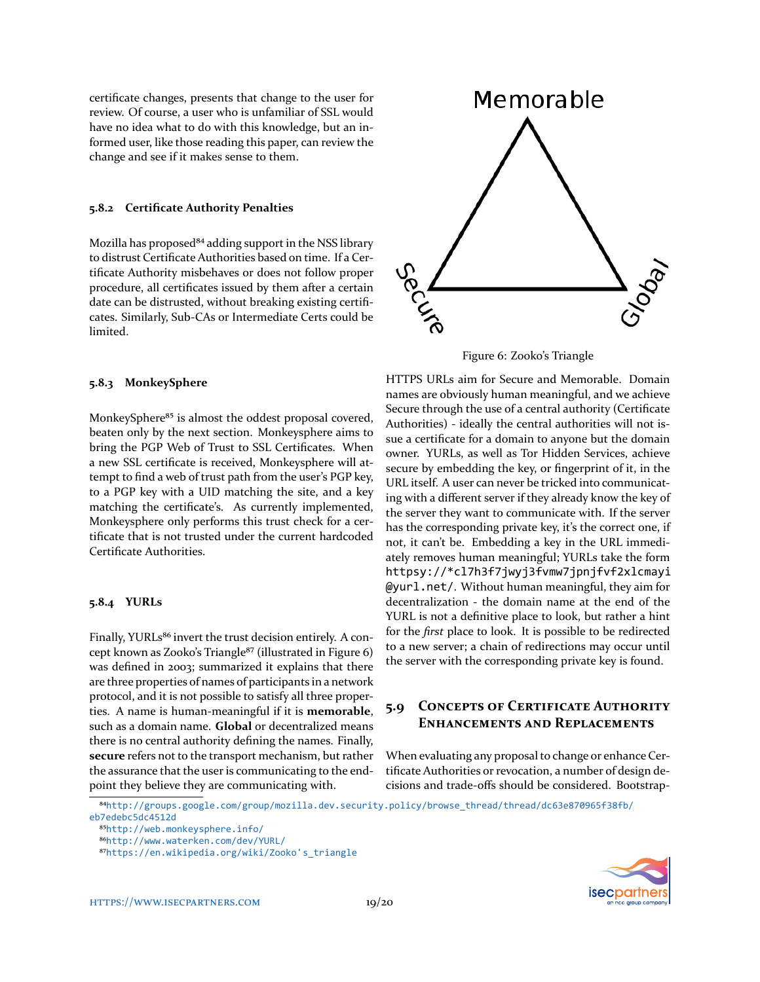certificate changes, presents that change to the user for review. Of course, a user who is unfamiliar of SSL would have no idea what to do with this knowledge, but an informed user, like those reading this paper, can review the change and see if it makes sense to them.

#### **5.8.2 Certificate Authority Penalties**

Mozilla has proposed<sup>84</sup> adding support in the NSS library to distrust Certificate Authorities based on time. If a Certificate Authority misbehaves or does not follow proper procedure, all certificates issued by them after a certain date can be distrusted, without breaking existing certificates. Similarly, Sub-CAs or Intermediate Certs could be limited.

#### **5.8.3 MonkeySphere**

MonkeySphere<sup>85</sup> is almost the oddest proposal covered, beaten only by the next section. Monkeysphere aims to bring the PGP Web of Trust to SSL Certificates. When a new SSL certificate is received, Monkeysphere will attempt to find a web of trust path from the user's PGP key, to a PGP key with a UID matching the site, and a key matching the certificate's. As currently implemented, Monkeysphere only performs this trust check for a certificate that is not trusted under the current hardcoded Certificate Authorities.

#### **5.8.4 YURLs**

Finally, YURLs<sup>86</sup> invert the trust decision entirely. A con-cept known as Zooko's Triangle<sup>87</sup> (illustrated in Figure [6\)](#page-18-4) was defined in 2003; summarized it explains that there are three properties of names of participants in a network protocol, and it is not possible to satisfy all three properties. A name is human-meaningful if it is **memorable**, such as a domain name. **Global** or decentralized means there is no central authority defining the names. Finally, **secure** refers not to the transport mechanism, but rather the assurance that the user is communicating to the endpoint they believe they are communicating with.



<span id="page-18-4"></span>Figure 6: Zooko's Triangle

HTTPS URLs aim for Secure and Memorable. Domain names are obviously human meaningful, and we achieve Secure through the use of a central authority (Certificate Authorities) - ideally the central authorities will not issue a certificate for a domain to anyone but the domain owner. YURLs, as well as Tor Hidden Services, achieve secure by embedding the key, or fingerprint of it, in the URL itself. A user can never be tricked into communicating with a different server if they already know the key of the server they want to communicate with. If the server has the corresponding private key, it's the correct one, if not, it can't be. Embedding a key in the URL immediately removes human meaningful; YURLs take the form httpsy://\*cl7h3f7jwyj3fvmw7jpnjfvf2xlcmayi @yurl.net/. Without human meaningful, they aim for decentralization - the domain name at the end of the YURL is not a definitive place to look, but rather a hint for the *first* place to look. It is possible to be redirected to a new server; a chain of redirections may occur until the server with the corresponding private key is found.

### **5.9 CONCEPTS OF CERTIFICATE AUTHORITY ENHANCEMENTS AND REPLACEMENTS**

When evaluating any proposal to change or enhance Certificate Authorities or revocation, a number of design decisions and trade-offs should be considered. Bootstrap-



<span id="page-18-0"></span>⁸⁴[http://groups.google.com/group/mozilla.dev.security.policy/browse\\_thread/thread/dc63e870965f38fb/](http://groups.google.com/group/mozilla.dev.security.policy/browse_thread/thread/dc63e870965f38fb/eb7edebc5dc4512d) [eb7edebc5dc4512d](http://groups.google.com/group/mozilla.dev.security.policy/browse_thread/thread/dc63e870965f38fb/eb7edebc5dc4512d)

<span id="page-18-1"></span>⁸⁵<http://web.monkeysphere.info/>

<span id="page-18-2"></span>⁸⁶<http://www.waterken.com/dev/YURL/>

<span id="page-18-3"></span>⁸⁷[https://en.wikipedia.org/wiki/Zooko's\\_triangle](https://en.wikipedia.org/wiki/Zooko)